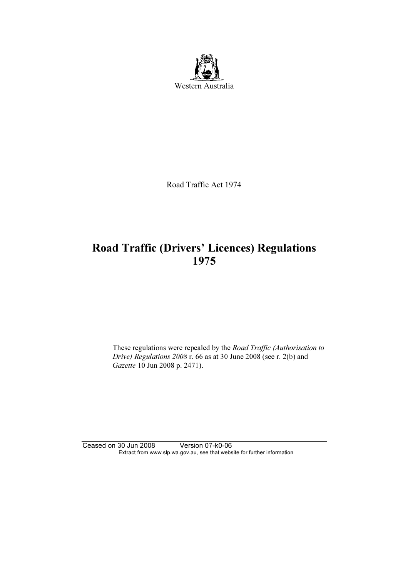

Road Traffic Act 1974

# Road Traffic (Drivers' Licences) Regulations 1975

These regulations were repealed by the Road Traffic (Authorisation to Drive) Regulations 2008 r. 66 as at 30 June 2008 (see r. 2(b) and Gazette 10 Jun 2008 p. 2471).

Ceased on 30 Jun 2008 Version 07-k0-06 Extract from www.slp.wa.gov.au, see that website for further information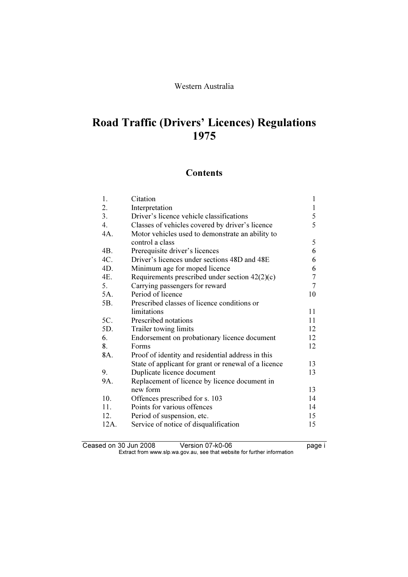# Road Traffic (Drivers' Licences) Regulations 1975

## **Contents**

| 1.               | Citation                                             | $\mathbf{1}$   |
|------------------|------------------------------------------------------|----------------|
| 2.               | Interpretation                                       | $\mathbf{1}$   |
| 3.               | Driver's licence vehicle classifications             | $rac{5}{5}$    |
| $\overline{4}$ . | Classes of vehicles covered by driver's licence      |                |
| 4A.              | Motor vehicles used to demonstrate an ability to     |                |
|                  | control a class                                      | 5              |
| 4B.              | Prerequisite driver's licences                       | 6              |
| 4C.              | Driver's licences under sections 48D and 48E         | 6              |
| 4D.              | Minimum age for moped licence                        | 6              |
| 4E.              | Requirements prescribed under section $42(2)(c)$     | $\sqrt{ }$     |
| 5.               | Carrying passengers for reward                       | $\overline{7}$ |
| 5A.              | Period of licence                                    | 10             |
| 5B.              | Prescribed classes of licence conditions or          |                |
|                  | limitations                                          | 11             |
| 5C.              | Prescribed notations                                 | 11             |
| 5D.              | Trailer towing limits                                | 12             |
| 6.               | Endorsement on probationary licence document         | 12             |
| 8.               | Forms                                                | 12             |
| 8A.              | Proof of identity and residential address in this    |                |
|                  | State of applicant for grant or renewal of a licence | 13             |
| 9.               | Duplicate licence document                           | 13             |
| 9A.              | Replacement of licence by licence document in        |                |
|                  | new form                                             | 13             |
| 10.              | Offences prescribed for s. 103                       | 14             |
| 11.              | Points for various offences                          | 14             |
| 12.              | Period of suspension, etc.                           | 15             |
| 12A.             | Service of notice of disqualification                | 15             |
|                  |                                                      |                |

Ceased on 30 Jun 2008 Version 07-k0-06 **Dealer in the UP of Allen Ceased** on 30 Jun 2008 Extract from www.slp.wa.gov.au, see that website for further information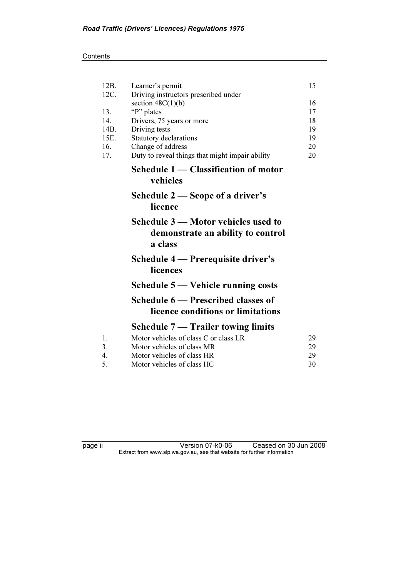| 12B.         | Learner's permit                                                                    | 15       |
|--------------|-------------------------------------------------------------------------------------|----------|
| 12C.         | Driving instructors prescribed under                                                |          |
|              | section $48C(1)(b)$                                                                 | 16       |
| 13.          | "P" plates                                                                          | 17       |
| 14.          | Drivers, 75 years or more                                                           | 18       |
| 14B.<br>15E. | Driving tests                                                                       | 19<br>19 |
| 16.          | <b>Statutory declarations</b><br>Change of address                                  | 20       |
| 17.          | Duty to reveal things that might impair ability                                     | 20       |
|              | Schedule 1 — Classification of motor                                                |          |
|              | vehicles                                                                            |          |
|              | Schedule 2 — Scope of a driver's<br>licence                                         |          |
|              | Schedule 3 – Motor vehicles used to<br>demonstrate an ability to control<br>a class |          |
|              | Schedule 4 — Prerequisite driver's<br>licences                                      |          |
|              | Schedule 5 — Vehicle running costs                                                  |          |
|              | Schedule 6 - Prescribed classes of<br>licence conditions or limitations             |          |
|              | Schedule $7 -$ Trailer towing limits                                                |          |
| 1.           | Motor vehicles of class C or class LR                                               | 29       |
| 3.           | Motor vehicles of class MR                                                          | 29       |
| 4.           | Motor vehicles of class HR                                                          | 29       |
| 5.           | Motor vehicles of class HC                                                          | 30       |

page ii Version 07-k0-06 Ceased on 30 Jun 2008 Extract from www.slp.wa.gov.au, see that website for further information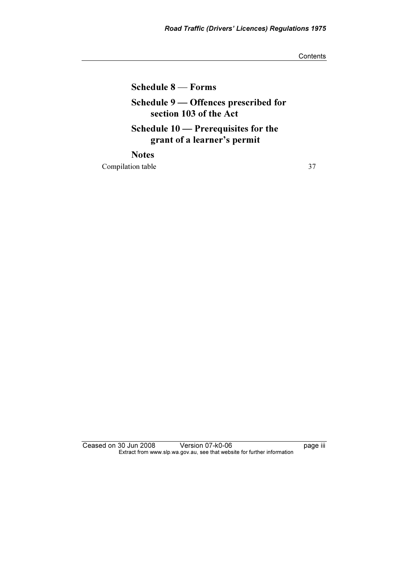**Contents** 

Schedule 8 — Forms

## Schedule 9 — Offences prescribed for section 103 of the Act

Schedule 10 — Prerequisites for the grant of a learner's permit

**Notes** Compilation table 37

Ceased on 30 Jun 2008 Version 07-k0-06 **Page iii** Extract from www.slp.wa.gov.au, see that website for further information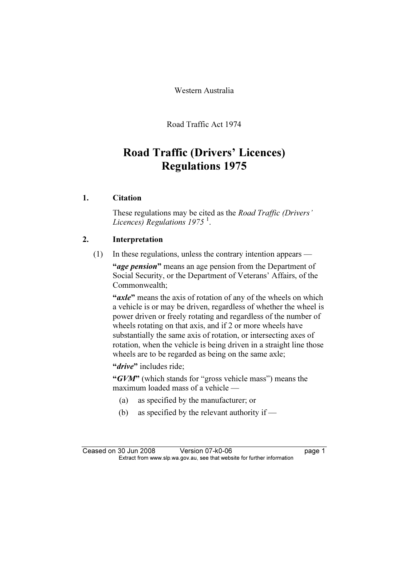Western Australia

Road Traffic Act 1974

# Road Traffic (Drivers' Licences) Regulations 1975

## 1. Citation

 These regulations may be cited as the Road Traffic (Drivers' Licences) Regulations 1975 $^1$ .

### 2. Interpretation

(1) In these regulations, unless the contrary intention appears —

"age pension" means an age pension from the Department of Social Security, or the Department of Veterans' Affairs, of the Commonwealth;

"axle" means the axis of rotation of any of the wheels on which a vehicle is or may be driven, regardless of whether the wheel is power driven or freely rotating and regardless of the number of wheels rotating on that axis, and if 2 or more wheels have substantially the same axis of rotation, or intersecting axes of rotation, when the vehicle is being driven in a straight line those wheels are to be regarded as being on the same axle;

"*drive*" includes ride:

"GVM" (which stands for "gross vehicle mass") means the maximum loaded mass of a vehicle —

- (a) as specified by the manufacturer; or
- (b) as specified by the relevant authority if —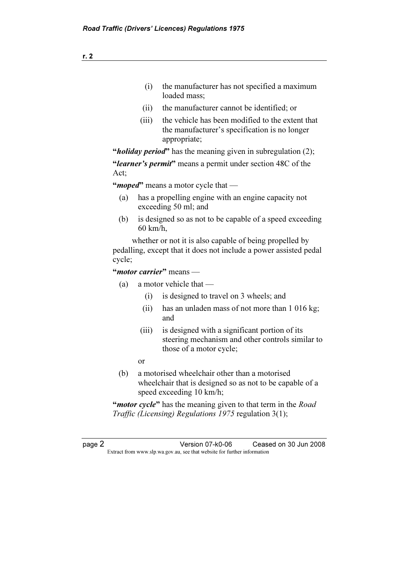- (i) the manufacturer has not specified a maximum loaded mass;
- (ii) the manufacturer cannot be identified; or
- (iii) the vehicle has been modified to the extent that the manufacturer's specification is no longer appropriate;

"*holiday period*" has the meaning given in subregulation  $(2)$ ;

"learner's permit" means a permit under section 48C of the Act;

"*moped*" means a motor cycle that —

- (a) has a propelling engine with an engine capacity not exceeding 50 ml; and
- (b) is designed so as not to be capable of a speed exceeding 60 km/h,

 whether or not it is also capable of being propelled by pedalling, except that it does not include a power assisted pedal cycle;

"*motor carrier*" means —

- (a) a motor vehicle that
	- (i) is designed to travel on 3 wheels; and
	- (ii) has an unladen mass of not more than 1 016 kg; and
	- (iii) is designed with a significant portion of its steering mechanism and other controls similar to those of a motor cycle;
- or
	- (b) a motorised wheelchair other than a motorised wheelchair that is designed so as not to be capable of a speed exceeding 10 km/h;

"*motor cycle*" has the meaning given to that term in the *Road* Traffic (Licensing) Regulations 1975 regulation 3(1);

page 2 Version 07-k0-06 Ceased on 30 Jun 2008 Extract from www.slp.wa.gov.au, see that website for further information

r. 2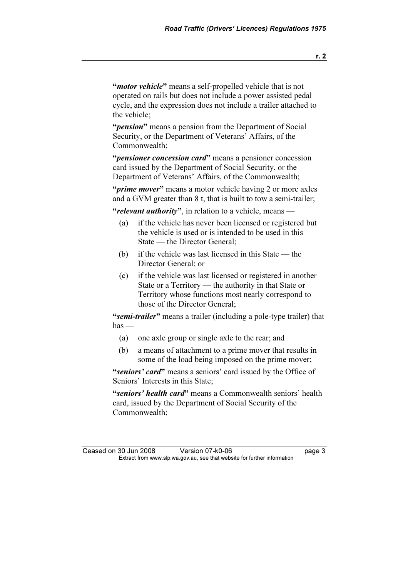"*motor vehicle*" means a self-propelled vehicle that is not operated on rails but does not include a power assisted pedal cycle, and the expression does not include a trailer attached to the vehicle;

"*pension*" means a pension from the Department of Social Security, or the Department of Veterans' Affairs, of the Commonwealth;

"*pensioner concession card*" means a pensioner concession card issued by the Department of Social Security, or the Department of Veterans' Affairs, of the Commonwealth;

"*prime mover*" means a motor vehicle having 2 or more axles and a GVM greater than 8 t, that is built to tow a semi-trailer;

"relevant authority", in relation to a vehicle, means —

- (a) if the vehicle has never been licensed or registered but the vehicle is used or is intended to be used in this State — the Director General;
- (b) if the vehicle was last licensed in this State the Director General; or
- (c) if the vehicle was last licensed or registered in another State or a Territory — the authority in that State or Territory whose functions most nearly correspond to those of the Director General;

"semi-trailer" means a trailer (including a pole-type trailer) that  $has$  —

- (a) one axle group or single axle to the rear; and
- (b) a means of attachment to a prime mover that results in some of the load being imposed on the prime mover;

"seniors' card" means a seniors' card issued by the Office of Seniors' Interests in this State;

"seniors' health card" means a Commonwealth seniors' health card, issued by the Department of Social Security of the Commonwealth;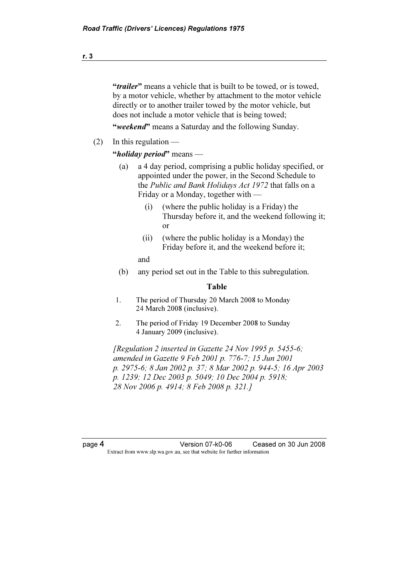"*trailer*" means a vehicle that is built to be towed, or is towed, by a motor vehicle, whether by attachment to the motor vehicle directly or to another trailer towed by the motor vehicle, but does not include a motor vehicle that is being towed;

"weekend" means a Saturday and the following Sunday.

 $(2)$  In this regulation —

"*holiday period*" means —

- (a) a 4 day period, comprising a public holiday specified, or appointed under the power, in the Second Schedule to the Public and Bank Holidays Act 1972 that falls on a Friday or a Monday, together with —
	- (i) (where the public holiday is a Friday) the Thursday before it, and the weekend following it; or
	- (ii) (where the public holiday is a Monday) the Friday before it, and the weekend before it;

and

(b) any period set out in the Table to this subregulation.

#### Table

- 1. The period of Thursday 20 March 2008 to Monday 24 March 2008 (inclusive).
- 2. The period of Friday 19 December 2008 to Sunday 4 January 2009 (inclusive).

 $[Re$  guaragethered in Gazette 24 Nov 1995 p. 5455-6; amended in Gazette 9 Feb 2001 p. 776-7; 15 Jun 2001 p. 2975-6; 8 Jan 2002 p. 37; 8 Mar 2002 p. 944-5; 16 Apr 2003 p. 1239; 12 Dec 2003 p. 5049; 10 Dec 2004 p. 5918; 28 Nov 2006 p. 4914; 8 Feb 2008 p. 321.]

page 4 Version 07-k0-06 Ceased on 30 Jun 2008 Extract from www.slp.wa.gov.au, see that website for further information

r. 3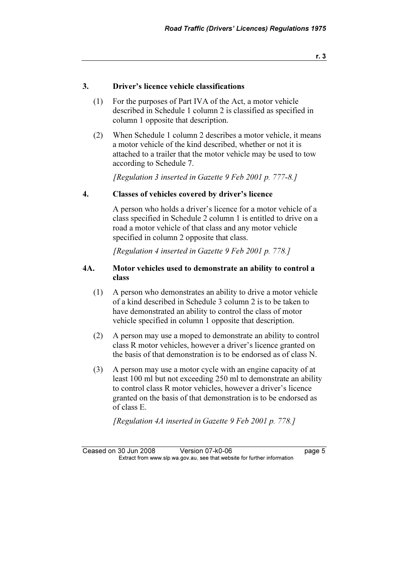### 3. Driver's licence vehicle classifications

- (1) For the purposes of Part IVA of the Act, a motor vehicle described in Schedule 1 column 2 is classified as specified in column 1 opposite that description.
- (2) When Schedule 1 column 2 describes a motor vehicle, it means a motor vehicle of the kind described, whether or not it is attached to a trailer that the motor vehicle may be used to tow according to Schedule 7.

[Regulation 3 inserted in Gazette 9 Feb 2001 p. 777-8.]

### 4. Classes of vehicles covered by driver's licence

 A person who holds a driver's licence for a motor vehicle of a class specified in Schedule 2 column 1 is entitled to drive on a road a motor vehicle of that class and any motor vehicle specified in column 2 opposite that class.

[Regulation 4 inserted in Gazette 9 Feb 2001 p. 778.]

### 4A. Motor vehicles used to demonstrate an ability to control a class

- (1) A person who demonstrates an ability to drive a motor vehicle of a kind described in Schedule 3 column 2 is to be taken to have demonstrated an ability to control the class of motor vehicle specified in column 1 opposite that description.
- (2) A person may use a moped to demonstrate an ability to control class R motor vehicles, however a driver's licence granted on the basis of that demonstration is to be endorsed as of class N.
- (3) A person may use a motor cycle with an engine capacity of at least 100 ml but not exceeding 250 ml to demonstrate an ability to control class R motor vehicles, however a driver's licence granted on the basis of that demonstration is to be endorsed as of class E.

[Regulation 4A inserted in Gazette 9 Feb 2001 p. 778.]

Ceased on 30 Jun 2008 Version 07-k0-06 **Data Constructs** page 5 Extract from www.slp.wa.gov.au, see that website for further information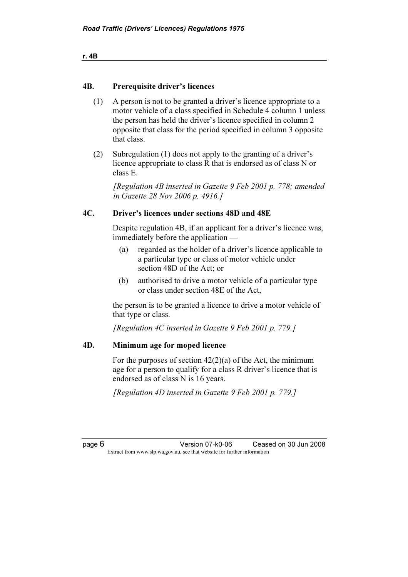```
r. 4B
```
## 4B. Prerequisite driver's licences

- (1) A person is not to be granted a driver's licence appropriate to a motor vehicle of a class specified in Schedule 4 column 1 unless the person has held the driver's licence specified in column 2 opposite that class for the period specified in column 3 opposite that class.
- (2) Subregulation (1) does not apply to the granting of a driver's licence appropriate to class R that is endorsed as of class N or class E.

 [Regulation 4B inserted in Gazette 9 Feb 2001 p. 778; amended in Gazette 28 Nov 2006 p. 4916.]

### 4C. Driver's licences under sections 48D and 48E

 Despite regulation 4B, if an applicant for a driver's licence was, immediately before the application —

- (a) regarded as the holder of a driver's licence applicable to a particular type or class of motor vehicle under section 48D of the Act; or
- (b) authorised to drive a motor vehicle of a particular type or class under section 48E of the Act,

 the person is to be granted a licence to drive a motor vehicle of that type or class.

[Regulation 4C inserted in Gazette 9 Feb 2001 p. 779.]

### 4D. Minimum age for moped licence

For the purposes of section  $42(2)(a)$  of the Act, the minimum age for a person to qualify for a class R driver's licence that is endorsed as of class N is 16 years.

[Regulation 4D inserted in Gazette 9 Feb 2001 p. 779.]

page 6 Version 07-k0-06 Ceased on 30 Jun 2008 Extract from www.slp.wa.gov.au, see that website for further information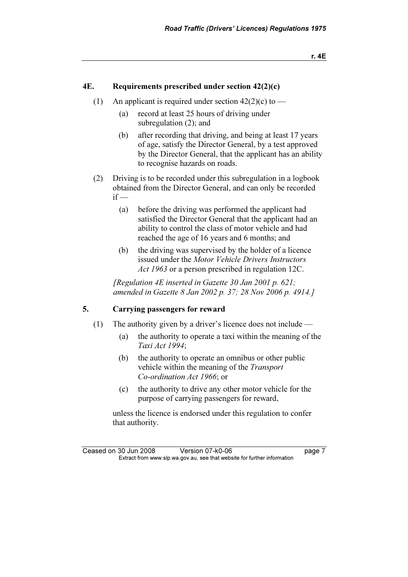### 4E. Requirements prescribed under section  $42(2)(c)$

- (1) An applicant is required under section  $42(2)(c)$  to
	- (a) record at least 25 hours of driving under subregulation (2); and
	- (b) after recording that driving, and being at least 17 years of age, satisfy the Director General, by a test approved by the Director General, that the applicant has an ability to recognise hazards on roads.
- (2) Driving is to be recorded under this subregulation in a logbook obtained from the Director General, and can only be recorded  $if -$ 
	- (a) before the driving was performed the applicant had satisfied the Director General that the applicant had an ability to control the class of motor vehicle and had reached the age of 16 years and 6 months; and
	- (b) the driving was supervised by the holder of a licence issued under the Motor Vehicle Drivers Instructors Act 1963 or a person prescribed in regulation 12C.

[Regulation 4E inserted in Gazette 30 Jan 2001 p. 621; amended in Gazette 8 Jan 2002 p. 37; 28 Nov 2006 p. 4914.]

## 5. Carrying passengers for reward

- (1) The authority given by a driver's licence does not include
	- (a) the authority to operate a taxi within the meaning of the Taxi Act 1994;
	- (b) the authority to operate an omnibus or other public vehicle within the meaning of the Transport Co-ordination Act 1966; or
	- (c) the authority to drive any other motor vehicle for the purpose of carrying passengers for reward,

 unless the licence is endorsed under this regulation to confer that authority.

Ceased on 30 Jun 2008 Version 07-k0-06 **Dage 7** Extract from www.slp.wa.gov.au, see that website for further information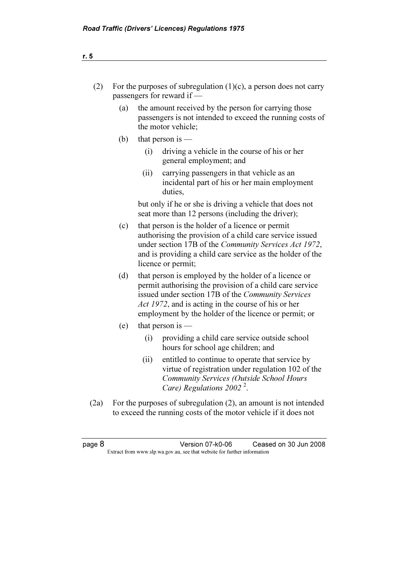| (2)    |     | For the purposes of subregulation $(1)(c)$ , a person does not carry<br>passengers for reward if —                                      |                                                                                                                                                                                                                                                                                                 |  |  |
|--------|-----|-----------------------------------------------------------------------------------------------------------------------------------------|-------------------------------------------------------------------------------------------------------------------------------------------------------------------------------------------------------------------------------------------------------------------------------------------------|--|--|
|        | (a) | the amount received by the person for carrying those<br>passengers is not intended to exceed the running costs of<br>the motor vehicle; |                                                                                                                                                                                                                                                                                                 |  |  |
|        | (b) |                                                                                                                                         | that person is $-$                                                                                                                                                                                                                                                                              |  |  |
|        |     | (i)                                                                                                                                     | driving a vehicle in the course of his or her<br>general employment; and                                                                                                                                                                                                                        |  |  |
|        |     | (ii)                                                                                                                                    | carrying passengers in that vehicle as an<br>incidental part of his or her main employment<br>duties,                                                                                                                                                                                           |  |  |
|        |     |                                                                                                                                         | but only if he or she is driving a vehicle that does not<br>seat more than 12 persons (including the driver);                                                                                                                                                                                   |  |  |
|        | (c) |                                                                                                                                         | that person is the holder of a licence or permit<br>authorising the provision of a child care service issued<br>under section 17B of the Community Services Act 1972,<br>and is providing a child care service as the holder of the<br>licence or permit;                                       |  |  |
|        | (d) |                                                                                                                                         | that person is employed by the holder of a licence or<br>permit authorising the provision of a child care service<br>issued under section 17B of the Community Services<br><i>Act 1972</i> , and is acting in the course of his or her<br>employment by the holder of the licence or permit; or |  |  |
|        | (e) |                                                                                                                                         | that person is $-$                                                                                                                                                                                                                                                                              |  |  |
|        |     | (i)                                                                                                                                     | providing a child care service outside school<br>hours for school age children; and                                                                                                                                                                                                             |  |  |
|        |     | (ii)                                                                                                                                    | entitled to continue to operate that service by<br>virtue of registration under regulation 102 of the<br><b>Community Services (Outside School Hours</b><br>Care) Regulations 2002 <sup>2</sup> .                                                                                               |  |  |
| (2a)   |     |                                                                                                                                         | For the purposes of subregulation $(2)$ , an amount is not intended<br>to exceed the running costs of the motor vehicle if it does not                                                                                                                                                          |  |  |
|        |     |                                                                                                                                         |                                                                                                                                                                                                                                                                                                 |  |  |
| page 8 |     |                                                                                                                                         | Version 07-k0-06<br>Ceased on 30 Jun 2008<br>Extract from www.slp.wa.gov.au, see that website for further information                                                                                                                                                                           |  |  |
|        |     |                                                                                                                                         |                                                                                                                                                                                                                                                                                                 |  |  |
|        |     |                                                                                                                                         |                                                                                                                                                                                                                                                                                                 |  |  |
|        |     |                                                                                                                                         |                                                                                                                                                                                                                                                                                                 |  |  |
|        |     |                                                                                                                                         |                                                                                                                                                                                                                                                                                                 |  |  |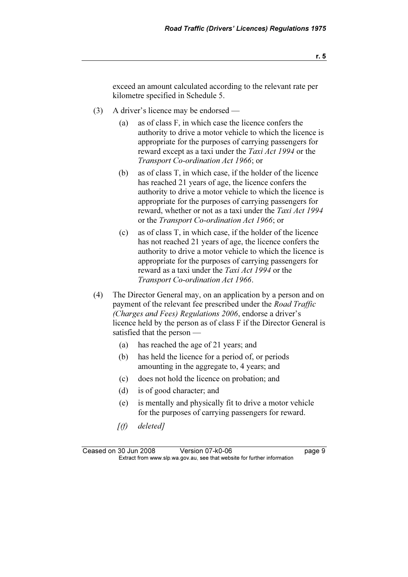exceed an amount calculated according to the relevant rate per kilometre specified in Schedule 5.

- (3) A driver's licence may be endorsed
	- (a) as of class F, in which case the licence confers the authority to drive a motor vehicle to which the licence is appropriate for the purposes of carrying passengers for reward except as a taxi under the Taxi Act 1994 or the Transport Co-ordination Act 1966; or
	- (b) as of class T, in which case, if the holder of the licence has reached 21 years of age, the licence confers the authority to drive a motor vehicle to which the licence is appropriate for the purposes of carrying passengers for reward, whether or not as a taxi under the Taxi Act 1994 or the Transport Co-ordination Act 1966; or
	- (c) as of class T, in which case, if the holder of the licence has not reached 21 years of age, the licence confers the authority to drive a motor vehicle to which the licence is appropriate for the purposes of carrying passengers for reward as a taxi under the Taxi Act 1994 or the Transport Co-ordination Act 1966.
- (4) The Director General may, on an application by a person and on payment of the relevant fee prescribed under the *Road Traffic* (Charges and Fees) Regulations 2006, endorse a driver's licence held by the person as of class F if the Director General is satisfied that the person —
	- (a) has reached the age of 21 years; and
	- (b) has held the licence for a period of, or periods amounting in the aggregate to, 4 years; and
	- (c) does not hold the licence on probation; and
	- (d) is of good character; and
	- (e) is mentally and physically fit to drive a motor vehicle for the purposes of carrying passengers for reward.
	- $[(f)$  deleted]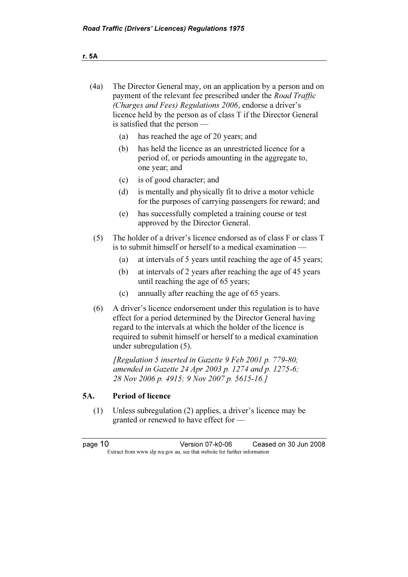| (4a) | The Director General may, on an application by a person and on<br>payment of the relevant fee prescribed under the Road Traffic<br>(Charges and Fees) Regulations 2006, endorse a driver's<br>licence held by the person as of class T if the Director General<br>is satisfied that the person — |
|------|--------------------------------------------------------------------------------------------------------------------------------------------------------------------------------------------------------------------------------------------------------------------------------------------------|
|      | has reached the age of 20 years; and<br>(a)                                                                                                                                                                                                                                                      |

- (b) has held the licence as an unrestricted licence for a period of, or periods amounting in the aggregate to, one year; and
- (c) is of good character; and
- (d) is mentally and physically fit to drive a motor vehicle for the purposes of carrying passengers for reward; and
- (e) has successfully completed a training course or test approved by the Director General.
- (5) The holder of a driver's licence endorsed as of class F or class T is to submit himself or herself to a medical examination —
	- (a) at intervals of 5 years until reaching the age of 45 years;
	- (b) at intervals of 2 years after reaching the age of 45 years until reaching the age of 65 years;
	- (c) annually after reaching the age of 65 years.
- (6) A driver's licence endorsement under this regulation is to have effect for a period determined by the Director General having regard to the intervals at which the holder of the licence is required to submit himself or herself to a medical examination under subregulation (5).

[Regulation 5 inserted in Gazette 9 Feb 2001 p. 779-80; amended in Gazette 24 Apr 2003 p. 1274 and p. 1275-6; 28 Nov 2006 p. 4915; 9 Nov 2007 p. 5615-16.]

## 5A. Period of licence

 (1) Unless subregulation (2) applies, a driver's licence may be granted or renewed to have effect for —

page 10 Version 07-k0-06 Ceased on 30 Jun 2008 Extract from www.slp.wa.gov.au, see that website for further information

r. 5A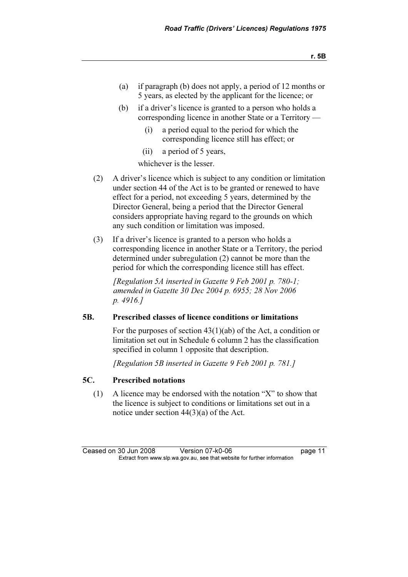- (a) if paragraph (b) does not apply, a period of 12 months or 5 years, as elected by the applicant for the licence; or
- (b) if a driver's licence is granted to a person who holds a corresponding licence in another State or a Territory —
	- (i) a period equal to the period for which the corresponding licence still has effect; or
	- (ii) a period of 5 years,

whichever is the lesser.

- (2) A driver's licence which is subject to any condition or limitation under section 44 of the Act is to be granted or renewed to have effect for a period, not exceeding 5 years, determined by the Director General, being a period that the Director General considers appropriate having regard to the grounds on which any such condition or limitation was imposed.
- (3) If a driver's licence is granted to a person who holds a corresponding licence in another State or a Territory, the period determined under subregulation (2) cannot be more than the period for which the corresponding licence still has effect.

 [Regulation 5A inserted in Gazette 9 Feb 2001 p. 780-1; amended in Gazette 30 Dec 2004 p. 6955; 28 Nov 2006 p. 4916.]

### 5B. Prescribed classes of licence conditions or limitations

 For the purposes of section 43(1)(ab) of the Act, a condition or limitation set out in Schedule 6 column 2 has the classification specified in column 1 opposite that description.

[Regulation 5B inserted in Gazette 9 Feb 2001 p. 781.]

## 5C. Prescribed notations

 (1) A licence may be endorsed with the notation "X" to show that the licence is subject to conditions or limitations set out in a notice under section 44(3)(a) of the Act.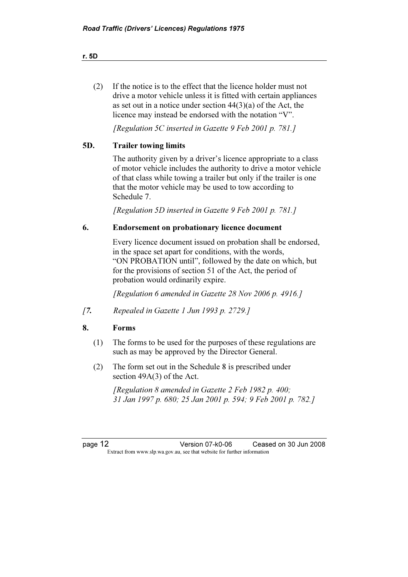(2) If the notice is to the effect that the licence holder must not drive a motor vehicle unless it is fitted with certain appliances as set out in a notice under section 44(3)(a) of the Act, the licence may instead be endorsed with the notation "V".

[Regulation 5C inserted in Gazette 9 Feb 2001 p. 781.]

### 5D. Trailer towing limits

 The authority given by a driver's licence appropriate to a class of motor vehicle includes the authority to drive a motor vehicle of that class while towing a trailer but only if the trailer is one that the motor vehicle may be used to tow according to Schedule 7.

[Regulation 5D inserted in Gazette 9 Feb 2001 p. 781.]

### 6. Endorsement on probationary licence document

 Every licence document issued on probation shall be endorsed, in the space set apart for conditions, with the words, "ON PROBATION until", followed by the date on which, but for the provisions of section 51 of the Act, the period of probation would ordinarily expire.

[Regulation 6 amended in Gazette 28 Nov 2006 p. 4916.]

[7. Repealed in Gazette 1 Jun 1993 p. 2729.]

### 8. Forms

- (1) The forms to be used for the purposes of these regulations are such as may be approved by the Director General.
- (2) The form set out in the Schedule 8 is prescribed under section 49A(3) of the Act.

[Regulation 8 amended in Gazette 2 Feb 1982 p. 400; 31 Jan 1997 p. 680; 25 Jan 2001 p. 594; 9 Feb 2001 p. 782.]

page 12 Version 07-k0-06 Ceased on 30 Jun 2008 Extract from www.slp.wa.gov.au, see that website for further information

r. 5D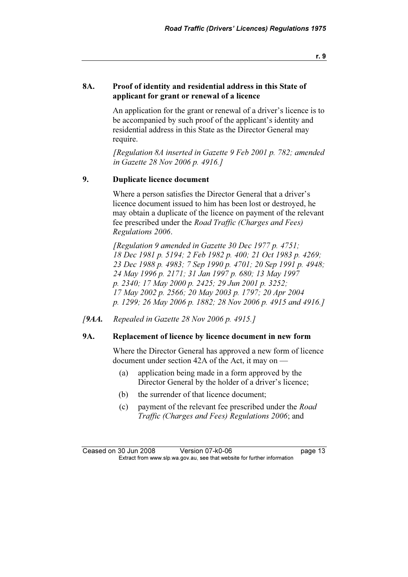r. 9

### 8A. Proof of identity and residential address in this State of applicant for grant or renewal of a licence

 An application for the grant or renewal of a driver's licence is to be accompanied by such proof of the applicant's identity and residential address in this State as the Director General may require.

 [Regulation 8A inserted in Gazette 9 Feb 2001 p. 782; amended in Gazette 28 Nov 2006 p. 4916.]

### 9. Duplicate licence document

 Where a person satisfies the Director General that a driver's licence document issued to him has been lost or destroyed, he may obtain a duplicate of the licence on payment of the relevant fee prescribed under the Road Traffic (Charges and Fees) Regulations 2006.

[Regulation 9 amended in Gazette 30 Dec 1977 p. 4751; 18 Dec 1981 p. 5194; 2 Feb 1982 p. 400; 21 Oct 1983 p. 4269; 23 Dec 1988 p. 4983; 7 Sep 1990 p. 4701; 20 Sep 1991 p. 4948; 24 May 1996 p. 2171; 31 Jan 1997 p. 680; 13 May 1997 p. 2340; 17 May 2000 p. 2425; 29 Jun 2001 p. 3252; 17 May 2002 p. 2566; 20 May 2003 p. 1797; 20 Apr 2004 p. 1299; 26 May 2006 p. 1882; 28 Nov 2006 p. 4915 and 4916.]

[9AA. Repealed in Gazette 28 Nov 2006 p. 4915.]

### 9A. Replacement of licence by licence document in new form

 Where the Director General has approved a new form of licence document under section 42A of the Act, it may on —

- (a) application being made in a form approved by the Director General by the holder of a driver's licence;
- (b) the surrender of that licence document;
- (c) payment of the relevant fee prescribed under the Road Traffic (Charges and Fees) Regulations 2006; and

Ceased on 30 Jun 2008 Version 07-k0-06 Page 13 Extract from www.slp.wa.gov.au, see that website for further information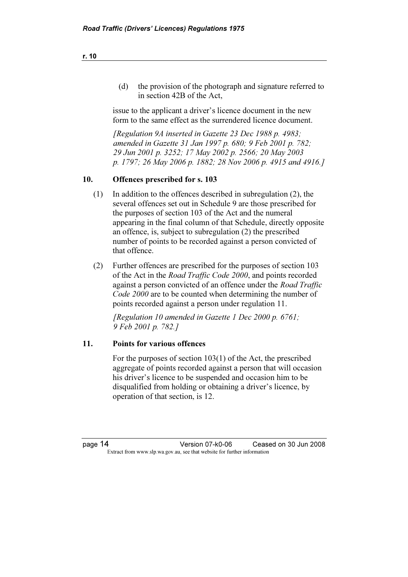(d) the provision of the photograph and signature referred to in section 42B of the Act,

 issue to the applicant a driver's licence document in the new form to the same effect as the surrendered licence document.

 [Regulation 9A inserted in Gazette 23 Dec 1988 p. 4983; amended in Gazette 31 Jan 1997 p. 680; 9 Feb 2001 p. 782; 29 Jun 2001 p. 3252; 17 May 2002 p. 2566; 20 May 2003 p. 1797; 26 May 2006 p. 1882; 28 Nov 2006 p. 4915 and 4916.]

### 10. Offences prescribed for s. 103

- (1) In addition to the offences described in subregulation (2), the several offences set out in Schedule 9 are those prescribed for the purposes of section 103 of the Act and the numeral appearing in the final column of that Schedule, directly opposite an offence, is, subject to subregulation (2) the prescribed number of points to be recorded against a person convicted of that offence.
- (2) Further offences are prescribed for the purposes of section 103 of the Act in the Road Traffic Code 2000, and points recorded against a person convicted of an offence under the *Road Traffic* Code 2000 are to be counted when determining the number of points recorded against a person under regulation 11.

 [Regulation 10 amended in Gazette 1 Dec 2000 p. 6761; 9 Feb 2001 p. 782.]

### 11. Points for various offences

 For the purposes of section 103(1) of the Act, the prescribed aggregate of points recorded against a person that will occasion his driver's licence to be suspended and occasion him to be disqualified from holding or obtaining a driver's licence, by operation of that section, is 12.

page 14 Version 07-k0-06 Ceased on 30 Jun 2008 Extract from www.slp.wa.gov.au, see that website for further information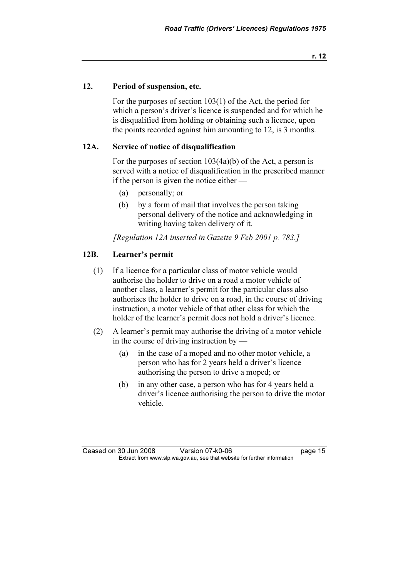### 12. Period of suspension, etc.

 For the purposes of section 103(1) of the Act, the period for which a person's driver's licence is suspended and for which he is disqualified from holding or obtaining such a licence, upon the points recorded against him amounting to 12, is 3 months.

### 12A. Service of notice of disqualification

 For the purposes of section 103(4a)(b) of the Act, a person is served with a notice of disqualification in the prescribed manner if the person is given the notice either —

- (a) personally; or
- (b) by a form of mail that involves the person taking personal delivery of the notice and acknowledging in writing having taken delivery of it.

[Regulation 12A inserted in Gazette 9 Feb 2001 p. 783.]

## 12B. Learner's permit

- (1) If a licence for a particular class of motor vehicle would authorise the holder to drive on a road a motor vehicle of another class, a learner's permit for the particular class also authorises the holder to drive on a road, in the course of driving instruction, a motor vehicle of that other class for which the holder of the learner's permit does not hold a driver's licence.
- (2) A learner's permit may authorise the driving of a motor vehicle in the course of driving instruction by —
	- (a) in the case of a moped and no other motor vehicle, a person who has for 2 years held a driver's licence authorising the person to drive a moped; or
	- (b) in any other case, a person who has for 4 years held a driver's licence authorising the person to drive the motor vehicle.

Ceased on 30 Jun 2008 Version 07-k0-06 **page 15** Extract from www.slp.wa.gov.au, see that website for further information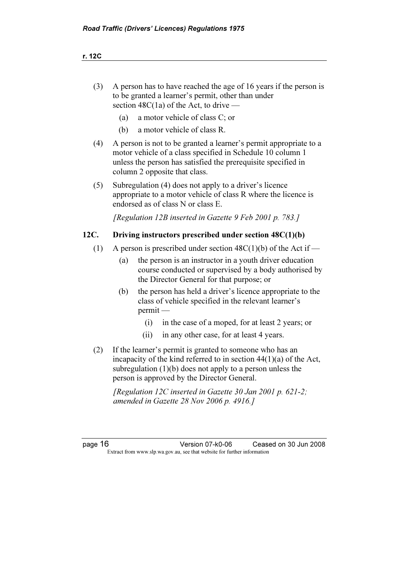- (3) A person has to have reached the age of 16 years if the person is to be granted a learner's permit, other than under section  $48C(1a)$  of the Act, to drive —
	- (a) a motor vehicle of class C; or
	- (b) a motor vehicle of class R.
- (4) A person is not to be granted a learner's permit appropriate to a motor vehicle of a class specified in Schedule 10 column 1 unless the person has satisfied the prerequisite specified in column 2 opposite that class.
- (5) Subregulation (4) does not apply to a driver's licence appropriate to a motor vehicle of class R where the licence is endorsed as of class N or class E.

[Regulation 12B inserted in Gazette 9 Feb 2001 p. 783.]

### 12C. Driving instructors prescribed under section 48C(1)(b)

- (1) A person is prescribed under section  $48C(1)(b)$  of the Act if
	- (a) the person is an instructor in a youth driver education course conducted or supervised by a body authorised by the Director General for that purpose; or
	- (b) the person has held a driver's licence appropriate to the class of vehicle specified in the relevant learner's permit —
		- (i) in the case of a moped, for at least 2 years; or
		- (ii) in any other case, for at least 4 years.
- (2) If the learner's permit is granted to someone who has an incapacity of the kind referred to in section 44(1)(a) of the Act, subregulation (1)(b) does not apply to a person unless the person is approved by the Director General.

 [Regulation 12C inserted in Gazette 30 Jan 2001 p. 621-2; amended in Gazette 28 Nov 2006 p. 4916.]

page 16 Version 07-k0-06 Ceased on 30 Jun 2008 Extract from www.slp.wa.gov.au, see that website for further information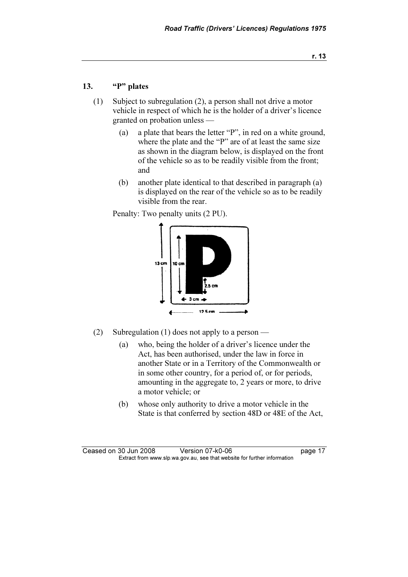## 13. "P" plates

- (1) Subject to subregulation (2), a person shall not drive a motor vehicle in respect of which he is the holder of a driver's licence granted on probation unless —
	- (a) a plate that bears the letter "P", in red on a white ground, where the plate and the "P" are of at least the same size as shown in the diagram below, is displayed on the front of the vehicle so as to be readily visible from the front; and
	- (b) another plate identical to that described in paragraph (a) is displayed on the rear of the vehicle so as to be readily visible from the rear.

Penalty: Two penalty units (2 PU).



- (2) Subregulation (1) does not apply to a person
	- (a) who, being the holder of a driver's licence under the Act, has been authorised, under the law in force in another State or in a Territory of the Commonwealth or in some other country, for a period of, or for periods, amounting in the aggregate to, 2 years or more, to drive a motor vehicle; or
	- (b) whose only authority to drive a motor vehicle in the State is that conferred by section 48D or 48E of the Act,

Ceased on 30 Jun 2008 Version 07-k0-06 Page 17 Extract from www.slp.wa.gov.au, see that website for further information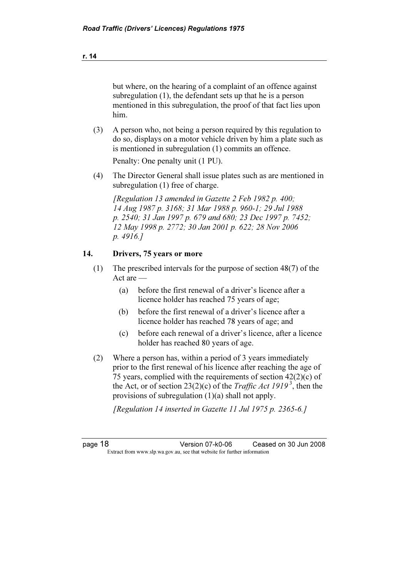but where, on the hearing of a complaint of an offence against subregulation (1), the defendant sets up that he is a person mentioned in this subregulation, the proof of that fact lies upon him.

 (3) A person who, not being a person required by this regulation to do so, displays on a motor vehicle driven by him a plate such as is mentioned in subregulation (1) commits an offence.

Penalty: One penalty unit (1 PU).

 (4) The Director General shall issue plates such as are mentioned in subregulation (1) free of charge.

 [Regulation 13 amended in Gazette 2 Feb 1982 p. 400; 14 Aug 1987 p. 3168; 31 Mar 1988 p. 960-1; 29 Jul 1988 p. 2540; 31 Jan 1997 p. 679 and 680; 23 Dec 1997 p. 7452; 12 May 1998 p. 2772; 30 Jan 2001 p. 622; 28 Nov 2006 p. 4916.]

### 14. Drivers, 75 years or more

- (1) The prescribed intervals for the purpose of section 48(7) of the Act are —
	- (a) before the first renewal of a driver's licence after a licence holder has reached 75 years of age;
	- (b) before the first renewal of a driver's licence after a licence holder has reached 78 years of age; and
	- (c) before each renewal of a driver's licence, after a licence holder has reached 80 years of age.
- (2) Where a person has, within a period of 3 years immediately prior to the first renewal of his licence after reaching the age of 75 years, complied with the requirements of section  $42(2)(c)$  of the Act, or of section 23(2)(c) of the *Traffic Act 1919*<sup>3</sup>, then the provisions of subregulation (1)(a) shall not apply.

[Regulation 14 inserted in Gazette 11 Jul 1975 p. 2365-6.]

page 18 Version 07-k0-06 Ceased on 30 Jun 2008 Extract from www.slp.wa.gov.au, see that website for further information

r. 14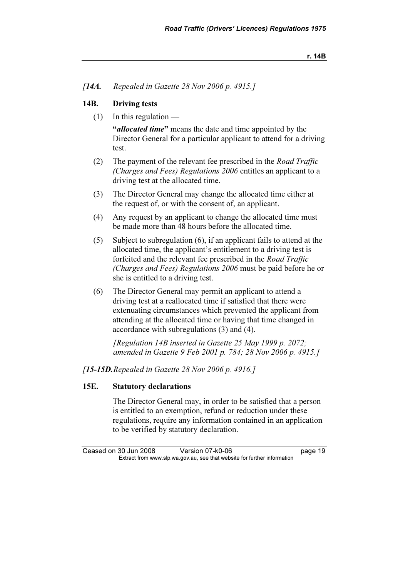[**14A.** Repealed in Gazette 28 Nov 2006 p. 4915.]

### 14B. Driving tests

 $(1)$  In this regulation —

"*allocated time*" means the date and time appointed by the Director General for a particular applicant to attend for a driving test.

- (2) The payment of the relevant fee prescribed in the Road Traffic (Charges and Fees) Regulations 2006 entitles an applicant to a driving test at the allocated time.
- (3) The Director General may change the allocated time either at the request of, or with the consent of, an applicant.
- (4) Any request by an applicant to change the allocated time must be made more than 48 hours before the allocated time.
- (5) Subject to subregulation (6), if an applicant fails to attend at the allocated time, the applicant's entitlement to a driving test is forfeited and the relevant fee prescribed in the Road Traffic (Charges and Fees) Regulations 2006 must be paid before he or she is entitled to a driving test.
- (6) The Director General may permit an applicant to attend a driving test at a reallocated time if satisfied that there were extenuating circumstances which prevented the applicant from attending at the allocated time or having that time changed in accordance with subregulations (3) and (4).

 [Regulation 14B inserted in Gazette 25 May 1999 p. 2072; amended in Gazette 9 Feb 2001 p. 784; 28 Nov 2006 p. 4915.]

[15-15D. Repealed in Gazette 28 Nov 2006 p. 4916.]

### 15E. Statutory declarations

 The Director General may, in order to be satisfied that a person is entitled to an exemption, refund or reduction under these regulations, require any information contained in an application to be verified by statutory declaration.

Ceased on 30 Jun 2008 Version 07-k0-06 **page 19** Extract from www.slp.wa.gov.au, see that website for further information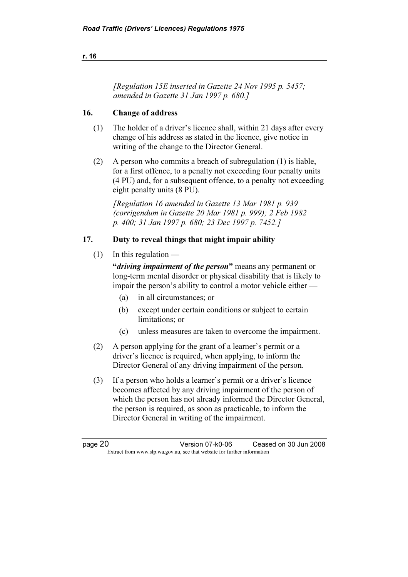### r. 16

 [Regulation 15E inserted in Gazette 24 Nov 1995 p. 5457; amended in Gazette 31 Jan 1997 p. 680.]

### 16. Change of address

- (1) The holder of a driver's licence shall, within 21 days after every change of his address as stated in the licence, give notice in writing of the change to the Director General.
- (2) A person who commits a breach of subregulation (1) is liable, for a first offence, to a penalty not exceeding four penalty units (4 PU) and, for a subsequent offence, to a penalty not exceeding eight penalty units (8 PU).

 [Regulation 16 amended in Gazette 13 Mar 1981 p. 939 (corrigendum in Gazette 20 Mar 1981 p. 999); 2 Feb 1982 p. 400; 31 Jan 1997 p. 680; 23 Dec 1997 p. 7452.]

## 17. Duty to reveal things that might impair ability

 $(1)$  In this regulation —

"*driving impairment of the person*" means any permanent or long-term mental disorder or physical disability that is likely to impair the person's ability to control a motor vehicle either —

- (a) in all circumstances; or
- (b) except under certain conditions or subject to certain limitations; or
- (c) unless measures are taken to overcome the impairment.
- (2) A person applying for the grant of a learner's permit or a driver's licence is required, when applying, to inform the Director General of any driving impairment of the person.
- (3) If a person who holds a learner's permit or a driver's licence becomes affected by any driving impairment of the person of which the person has not already informed the Director General, the person is required, as soon as practicable, to inform the Director General in writing of the impairment.

page 20 Version 07-k0-06 Ceased on 30 Jun 2008 Extract from www.slp.wa.gov.au, see that website for further information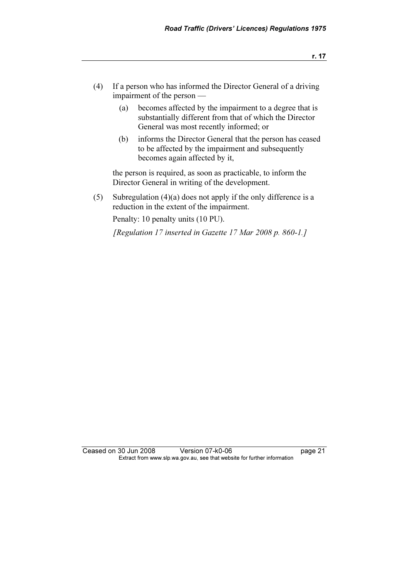- (4) If a person who has informed the Director General of a driving impairment of the person —
	- (a) becomes affected by the impairment to a degree that is substantially different from that of which the Director General was most recently informed; or
	- (b) informs the Director General that the person has ceased to be affected by the impairment and subsequently becomes again affected by it,

 the person is required, as soon as practicable, to inform the Director General in writing of the development.

 (5) Subregulation (4)(a) does not apply if the only difference is a reduction in the extent of the impairment.

Penalty: 10 penalty units (10 PU).

[Regulation 17 inserted in Gazette 17 Mar 2008 p. 860-1.]

Ceased on 30 Jun 2008 Version 07-k0-06 page 21 Extract from www.slp.wa.gov.au, see that website for further information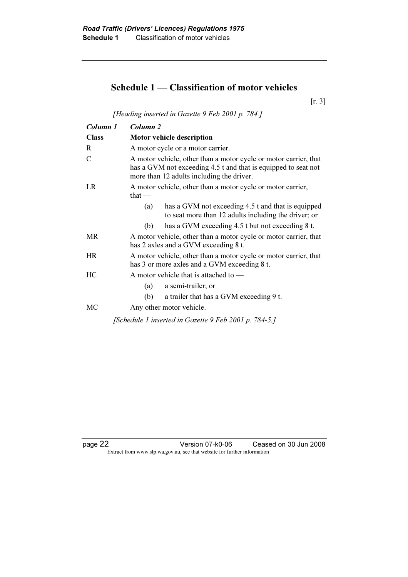## Schedule 1 — Classification of motor vehicles

[r. 3]

[Heading inserted in Gazette 9 Feb 2001 p. 784.]

| Column 1     | Column <sub>2</sub>                                                                                                                                                             |  |  |
|--------------|---------------------------------------------------------------------------------------------------------------------------------------------------------------------------------|--|--|
| <b>Class</b> | <b>Motor vehicle description</b>                                                                                                                                                |  |  |
| R            | A motor cycle or a motor carrier.                                                                                                                                               |  |  |
| C            | A motor vehicle, other than a motor cycle or motor carrier, that<br>has a GVM not exceeding 4.5 t and that is equipped to seat not<br>more than 12 adults including the driver. |  |  |
| LR           | A motor vehicle, other than a motor cycle or motor carrier,<br>that $-$                                                                                                         |  |  |
|              | has a GVM not exceeding 4.5 t and that is equipped<br>(a)<br>to seat more than 12 adults including the driver; or                                                               |  |  |
|              | has a GVM exceeding 4.5 t but not exceeding 8 t.<br>(b)                                                                                                                         |  |  |
| <b>MR</b>    | A motor vehicle, other than a motor cycle or motor carrier, that<br>has 2 axles and a GVM exceeding 8 t.                                                                        |  |  |
| HR           | A motor vehicle, other than a motor cycle or motor carrier, that<br>has 3 or more axles and a GVM exceeding 8 t.                                                                |  |  |
| HC           | A motor vehicle that is attached to —                                                                                                                                           |  |  |
|              | a semi-trailer; or<br>(a)                                                                                                                                                       |  |  |
|              | a trailer that has a GVM exceeding 9 t.<br>(b)                                                                                                                                  |  |  |
| MC           | Any other motor vehicle.                                                                                                                                                        |  |  |
|              | [Schedule 1 inserted in Gazette 9 Feb 2001 p. 784-5.]                                                                                                                           |  |  |

page 22 Version 07-k0-06 Ceased on 30 Jun 2008 Extract from www.slp.wa.gov.au, see that website for further information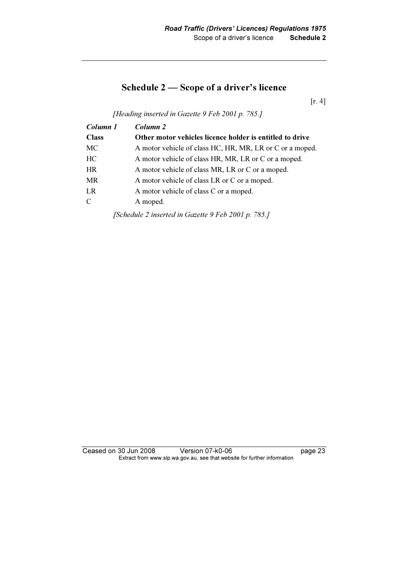## Schedule 2 — Scope of a driver's licence

[r. 4]

[Heading inserted in Gazette 9 Feb 2001 p. 785.]

| Column 1     | Column 2                                                 |
|--------------|----------------------------------------------------------|
| <b>Class</b> | Other motor vehicles licence holder is entitled to drive |
| MC           | A motor vehicle of class HC, HR, MR, LR or C or a moped. |
| HC           | A motor vehicle of class HR, MR, LR or C or a moped.     |
| <b>HR</b>    | A motor vehicle of class MR, LR or C or a moped.         |
| MR           | A motor vehicle of class LR or C or a moped.             |
| LR           | A motor vehicle of class C or a moped.                   |
| C            | A moped.                                                 |
|              | [Schedule 2 inserted in Gazette 9 Feb 2001 p. 785.]      |

Ceased on 30 Jun 2008 Version 07-k0-06 page 23 Extract from www.slp.wa.gov.au, see that website for further information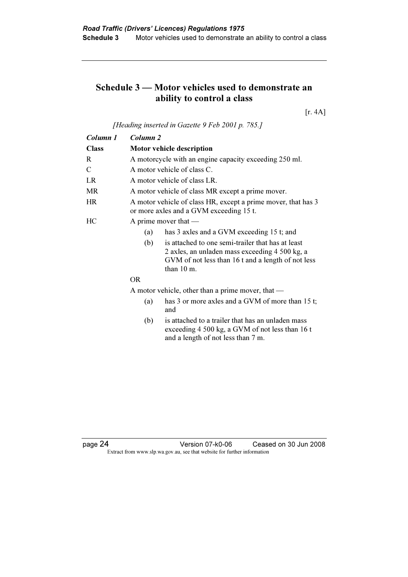## Schedule 3 — Motor vehicles used to demonstrate an ability to control a class

[r. 4A]

[Heading inserted in Gazette 9 Feb 2001 p. 785.]

| Column 1                     | Column <sub>2</sub>                                 |                                                                                                                                                           |  |  |
|------------------------------|-----------------------------------------------------|-----------------------------------------------------------------------------------------------------------------------------------------------------------|--|--|
| <b>Class</b>                 | Motor vehicle description                           |                                                                                                                                                           |  |  |
| R                            |                                                     | A motorcycle with an engine capacity exceeding 250 ml.                                                                                                    |  |  |
| C                            |                                                     | A motor vehicle of class C.                                                                                                                               |  |  |
| LR                           |                                                     | A motor vehicle of class LR.                                                                                                                              |  |  |
| <b>MR</b>                    |                                                     | A motor vehicle of class MR except a prime mover.                                                                                                         |  |  |
| HR                           |                                                     | A motor vehicle of class HR, except a prime mover, that has 3<br>or more axles and a GVM exceeding 15 t.                                                  |  |  |
| HС                           |                                                     | A prime mover that $-$                                                                                                                                    |  |  |
|                              | has 3 axles and a GVM exceeding 15 t; and<br>(a)    |                                                                                                                                                           |  |  |
| (b)<br>than $10 \text{ m}$ . |                                                     | is attached to one semi-trailer that has at least<br>2 axles, an unladen mass exceeding 4 500 kg, a<br>GVM of not less than 16 t and a length of not less |  |  |
|                              | <b>OR</b>                                           |                                                                                                                                                           |  |  |
|                              | A motor vehicle, other than a prime mover, that $-$ |                                                                                                                                                           |  |  |
|                              | (a)                                                 | has 3 or more axles and a GVM of more than 15 t;<br>and                                                                                                   |  |  |
|                              | (h)                                                 | is attached to a trailer that has an unladen mass                                                                                                         |  |  |

 (b) is attached to a trailer that has an unladen mass exceeding 4 500 kg, a GVM of not less than 16 t and a length of not less than 7 m.

page 24 Version 07-k0-06 Ceased on 30 Jun 2008 Extract from www.slp.wa.gov.au, see that website for further information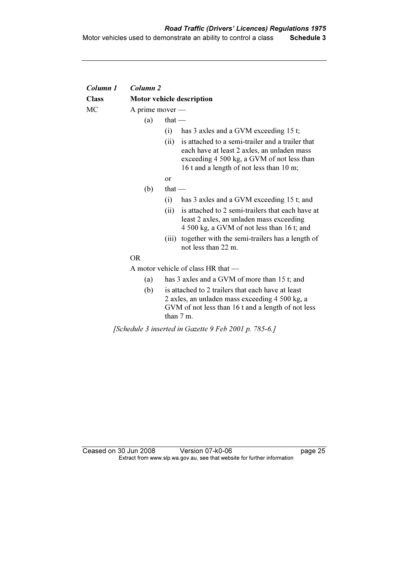| Column 1     | Column <sub>2</sub>                |                                                                                                                                                                                                   |  |  |  |
|--------------|------------------------------------|---------------------------------------------------------------------------------------------------------------------------------------------------------------------------------------------------|--|--|--|
| <b>Class</b> |                                    | <b>Motor vehicle description</b>                                                                                                                                                                  |  |  |  |
| МC           | A prime mover $-$                  |                                                                                                                                                                                                   |  |  |  |
|              | (a)                                | that $-$                                                                                                                                                                                          |  |  |  |
|              |                                    | has 3 axles and a GVM exceeding 15 t;<br>(i)                                                                                                                                                      |  |  |  |
|              |                                    | is attached to a semi-trailer and a trailer that<br>(ii)<br>each have at least 2 axles, an unladen mass<br>exceeding 4 500 kg, a GVM of not less than<br>16 t and a length of not less than 10 m; |  |  |  |
|              |                                    | <b>or</b>                                                                                                                                                                                         |  |  |  |
|              | (b)                                | that $-$                                                                                                                                                                                          |  |  |  |
|              |                                    | (i)<br>has 3 axles and a GVM exceeding 15 t; and                                                                                                                                                  |  |  |  |
|              |                                    | is attached to 2 semi-trailers that each have at<br>(ii)<br>least 2 axles, an unladen mass exceeding<br>4 500 kg, a GVM of not less than 16 t; and                                                |  |  |  |
|              |                                    | (iii) together with the semi-trailers has a length of<br>not less than 22 m.                                                                                                                      |  |  |  |
|              | <b>OR</b>                          |                                                                                                                                                                                                   |  |  |  |
|              | A motor vehicle of class HR that - |                                                                                                                                                                                                   |  |  |  |
|              | (a)                                | has 3 axles and a GVM of more than 15 t; and                                                                                                                                                      |  |  |  |
|              | (b)                                | is attached to 2 trailers that each have at least<br>2 axles, an unladen mass exceeding 4 500 kg, a<br>GVM of not less than 16 t and a length of not less<br>than 7 m.                            |  |  |  |
|              |                                    |                                                                                                                                                                                                   |  |  |  |

[Schedule 3 inserted in Gazette 9 Feb 2001 p. 785-6.]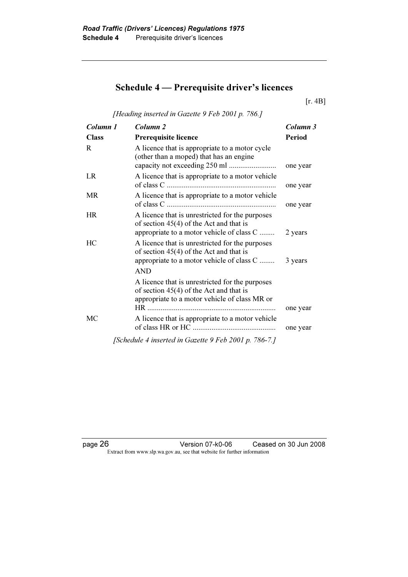# Schedule 4 — Prerequisite driver's licences

[r. 4B]

[Heading inserted in Gazette 9 Feb 2001 p. 786.]

| Column 1     | Column <sub>2</sub>                                                                                                                                     | Column 3             |
|--------------|---------------------------------------------------------------------------------------------------------------------------------------------------------|----------------------|
| <b>Class</b> | <b>Prerequisite licence</b>                                                                                                                             | <b>Period</b>        |
| R            | A licence that is appropriate to a motor cycle<br>(other than a moped) that has an engine                                                               | one year             |
| LR           | A licence that is appropriate to a motor vehicle                                                                                                        | one year             |
| <b>MR</b>    | A licence that is appropriate to a motor vehicle                                                                                                        | one year             |
| <b>HR</b>    | A licence that is unrestricted for the purposes<br>of section $45(4)$ of the Act and that is<br>appropriate to a motor vehicle of class C               | 2 years              |
| HC           | A licence that is unrestricted for the purposes<br>of section $45(4)$ of the Act and that is<br>appropriate to a motor vehicle of class C<br><b>AND</b> | 3 years              |
|              | A licence that is unrestricted for the purposes<br>of section $45(4)$ of the Act and that is<br>appropriate to a motor vehicle of class MR or           |                      |
| MC           | A licence that is appropriate to a motor vehicle                                                                                                        | one year<br>one year |
|              | [Schedule 4 inserted in Gazette 9 Feb 2001 p. 786-7.]                                                                                                   |                      |

page 26 Version 07-k0-06 Ceased on 30 Jun 2008 Extract from www.slp.wa.gov.au, see that website for further information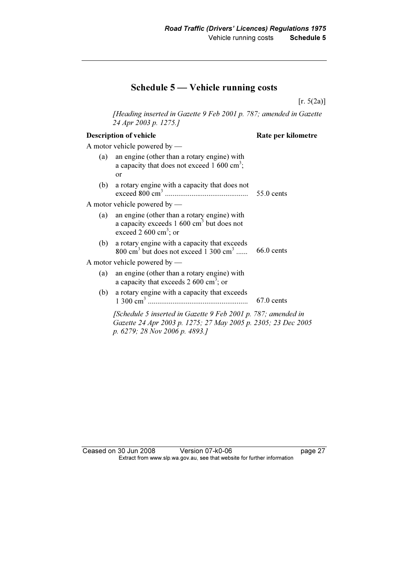## Schedule 5 — Vehicle running costs

[r. 5(2a)]

 [Heading inserted in Gazette 9 Feb 2001 p. 787; amended in Gazette 24 Apr 2003 p. 1275.]

### Description of vehicle Rate per kilometre

A motor vehicle powered by —

| (a) | an engine (other than a rotary engine) with<br>a capacity that does not exceed 1 600 cm <sup>3</sup> ;<br><b>or</b>                                              |              |
|-----|------------------------------------------------------------------------------------------------------------------------------------------------------------------|--------------|
| (b) | a rotary engine with a capacity that does not                                                                                                                    | $55.0$ cents |
|     | A motor vehicle powered by —                                                                                                                                     |              |
| (a) | an engine (other than a rotary engine) with<br>a capacity exceeds $1\,600\,\text{cm}^3$ but does not<br>exceed 2 600 $\text{cm}^3$ ; or                          |              |
| (b) | a rotary engine with a capacity that exceeds<br>$800 \text{ cm}^3$ but does not exceed 1 300 cm <sup>3</sup>                                                     | $66.0$ cents |
|     | A motor vehicle powered by —                                                                                                                                     |              |
| (a) | an engine (other than a rotary engine) with<br>a capacity that exceeds 2 600 cm <sup>3</sup> ; or                                                                |              |
| (b) | a rotary engine with a capacity that exceeds                                                                                                                     | $67.0$ cents |
|     | [Schedule 5 inserted in Gazette 9 Feb 2001 p. 787; amended in<br>Gazette 24 Apr 2003 p. 1275; 27 May 2005 p. 2305; 23 Dec 2005<br>p. 6279; 28 Nov 2006 p. 4893.] |              |

Ceased on 30 Jun 2008 Version 07-k0-06 page 27 Extract from www.slp.wa.gov.au, see that website for further information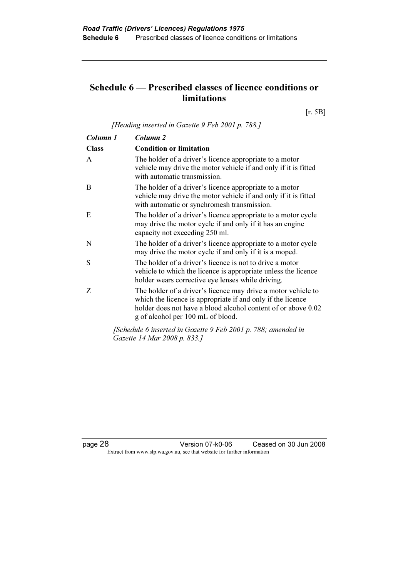## Schedule 6 — Prescribed classes of licence conditions or limitations

[r. 5B]

[Heading inserted in Gazette 9 Feb 2001 p. 788.]

| Column 1     | Column 2                                                                                                                                                                                                                           |
|--------------|------------------------------------------------------------------------------------------------------------------------------------------------------------------------------------------------------------------------------------|
| <b>Class</b> | <b>Condition or limitation</b>                                                                                                                                                                                                     |
| $\mathsf{A}$ | The holder of a driver's licence appropriate to a motor<br>vehicle may drive the motor vehicle if and only if it is fitted<br>with automatic transmission.                                                                         |
| B            | The holder of a driver's licence appropriate to a motor<br>vehicle may drive the motor vehicle if and only if it is fitted<br>with automatic or synchromesh transmission.                                                          |
| E            | The holder of a driver's licence appropriate to a motor cycle<br>may drive the motor cycle if and only if it has an engine<br>capacity not exceeding 250 ml.                                                                       |
| N            | The holder of a driver's licence appropriate to a motor cycle<br>may drive the motor cycle if and only if it is a moped.                                                                                                           |
| S            | The holder of a driver's licence is not to drive a motor<br>vehicle to which the licence is appropriate unless the licence<br>holder wears corrective eye lenses while driving.                                                    |
| Z            | The holder of a driver's licence may drive a motor vehicle to<br>which the licence is appropriate if and only if the licence<br>holder does not have a blood alcohol content of or above 0.02<br>g of alcohol per 100 mL of blood. |
|              | 1121                                                                                                                                                                                                                               |

 [Schedule 6 inserted in Gazette 9 Feb 2001 p. 788; amended in Gazette 14 Mar 2008 p. 833.]

page 28 Version 07-k0-06 Ceased on 30 Jun 2008 Extract from www.slp.wa.gov.au, see that website for further information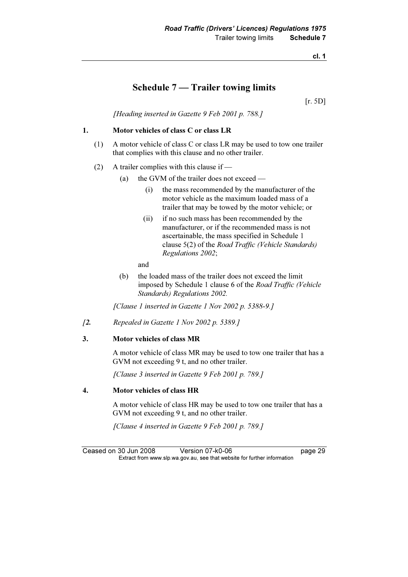cl. 1

## Schedule 7 — Trailer towing limits

[r. 5D]

[Heading inserted in Gazette 9 Feb 2001 p. 788.]

### 1. Motor vehicles of class C or class LR

- (1) A motor vehicle of class C or class LR may be used to tow one trailer that complies with this clause and no other trailer.
- (2) A trailer complies with this clause if
	- (a) the GVM of the trailer does not exceed
		- (i) the mass recommended by the manufacturer of the motor vehicle as the maximum loaded mass of a trailer that may be towed by the motor vehicle; or
		- (ii) if no such mass has been recommended by the manufacturer, or if the recommended mass is not ascertainable, the mass specified in Schedule 1 clause 5(2) of the Road Traffic (Vehicle Standards) Regulations 2002;

and

 (b) the loaded mass of the trailer does not exceed the limit imposed by Schedule 1 clause 6 of the Road Traffic (Vehicle Standards) Regulations 2002.

[Clause 1 inserted in Gazette 1 Nov 2002 p. 5388-9.]

[2. Repealed in Gazette 1 Nov 2002 p. 5389.]

#### 3. Motor vehicles of class MR

 A motor vehicle of class MR may be used to tow one trailer that has a GVM not exceeding 9 t, and no other trailer.

[Clause 3 inserted in Gazette 9 Feb 2001 p. 789.]

#### 4. Motor vehicles of class HR

 A motor vehicle of class HR may be used to tow one trailer that has a GVM not exceeding 9 t, and no other trailer.

[Clause 4 inserted in Gazette 9 Feb 2001 p. 789.]

Ceased on 30 Jun 2008 Version 07-k0-06 **Dage 29** Extract from www.slp.wa.gov.au, see that website for further information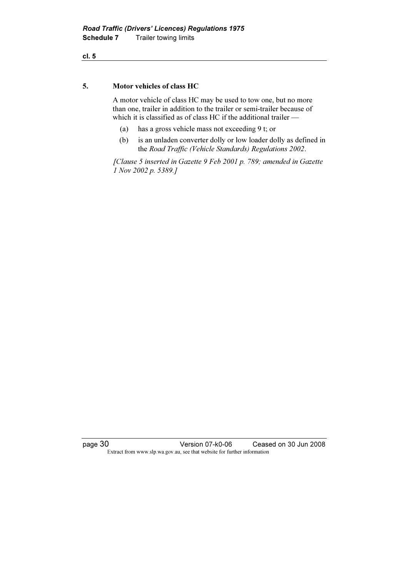### 5. Motor vehicles of class HC

 A motor vehicle of class HC may be used to tow one, but no more than one, trailer in addition to the trailer or semi-trailer because of which it is classified as of class HC if the additional trailer —

- (a) has a gross vehicle mass not exceeding 9 t; or
- (b) is an unladen converter dolly or low loader dolly as defined in the Road Traffic (Vehicle Standards) Regulations 2002.

 [Clause 5 inserted in Gazette 9 Feb 2001 p. 789; amended in Gazette 1 Nov 2002 p. 5389.]

page 30 Version 07-k0-06 Ceased on 30 Jun 2008 Extract from www.slp.wa.gov.au, see that website for further information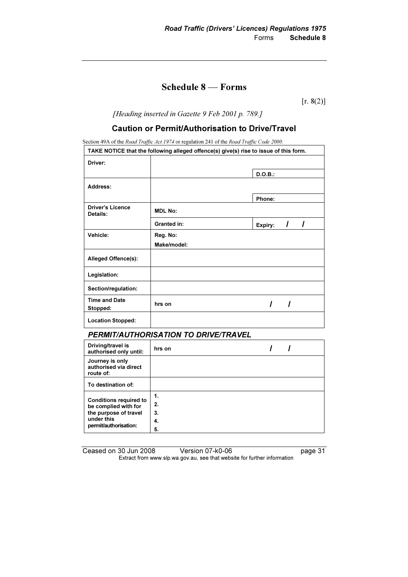## Schedule 8 — Forms

 $[r. 8(2)]$ 

[Heading inserted in Gazette 9 Feb 2001 p. 789.]

### Caution or Permit/Authorisation to Drive/Travel

Section 49A of the Road Traffic Act 1974 or regulation 241 of the Road Traffic Code 2000.

| TAKE NOTICE that the following alleged offence(s) give(s) rise to issue of this form. |                |         |  |
|---------------------------------------------------------------------------------------|----------------|---------|--|
| Driver:                                                                               |                |         |  |
|                                                                                       |                | D.O.B.: |  |
| Address:                                                                              |                |         |  |
|                                                                                       |                | Phone:  |  |
| <b>Driver's Licence</b><br>Details:                                                   | <b>MDL No:</b> |         |  |
|                                                                                       | Granted in:    | Expiry: |  |
| Vehicle:                                                                              | Reg. No:       |         |  |
|                                                                                       | Make/model:    |         |  |
| Alleged Offence(s):                                                                   |                |         |  |
| Legislation:                                                                          |                |         |  |
| Section/regulation:                                                                   |                |         |  |
| <b>Time and Date</b><br>Stopped:                                                      | hrs on         |         |  |
| <b>Location Stopped:</b>                                                              |                |         |  |

## PERMIT/AUTHORISATION TO DRIVE/TRAVEL

| Driving/travel is<br>authorised only until:                                                                           | hrs on |  |
|-----------------------------------------------------------------------------------------------------------------------|--------|--|
| Journey is only<br>authorised via direct<br>route of:                                                                 |        |  |
| To destination of:                                                                                                    |        |  |
|                                                                                                                       | 1.     |  |
| <b>Conditions required to</b><br>be complied with for<br>the purpose of travel<br>under this<br>permit/authorisation: | 2.     |  |
|                                                                                                                       | 3.     |  |
|                                                                                                                       | 4.     |  |
|                                                                                                                       | 5.     |  |

| Ceased on 30 Jun 2008 | Version 07-k0-06                                                         | page 31 |
|-----------------------|--------------------------------------------------------------------------|---------|
|                       | Extract from www.slp.wa.gov.au, see that website for further information |         |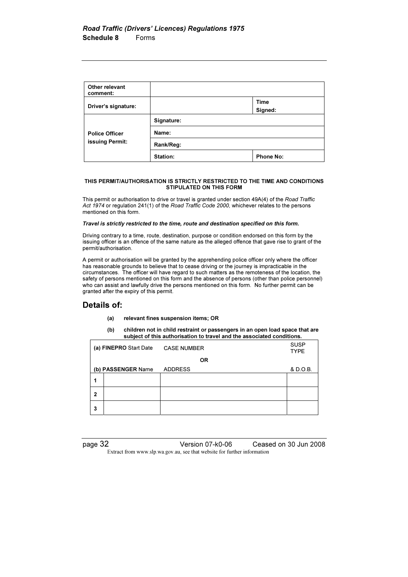| Other relevant<br>comment:               |            |                  |
|------------------------------------------|------------|------------------|
| Driver's signature:                      |            | Time<br>Signed:  |
| <b>Police Officer</b><br>issuing Permit: | Signature: |                  |
|                                          | Name:      |                  |
|                                          | Rank/Reg:  |                  |
|                                          | Station:   | <b>Phone No:</b> |

#### THIS PERMIT/AUTHORISATION IS STRICTLY RESTRICTED TO THE TIME AND CONDITIONS STIPULATED ON THIS FORM

This permit or authorisation to drive or travel is granted under section 49A(4) of the Road Traffic Act 1974 or regulation 241(1) of the Road Traffic Code 2000, whichever relates to the persons mentioned on this form.

#### Travel is strictly restricted to the time, route and destination specified on this form.

Driving contrary to a time, route, destination, purpose or condition endorsed on this form by the issuing officer is an offence of the same nature as the alleged offence that gave rise to grant of the permit/authorisation.

A permit or authorisation will be granted by the apprehending police officer only where the officer has reasonable grounds to believe that to cease driving or the journey is impracticable in the circumstances. The officer will have regard to such matters as the remoteness of the location, the safety of persons mentioned on this form and the absence of persons (other than police personnel) who can assist and lawfully drive the persons mentioned on this form. No further permit can be granted after the expiry of this permit.

### Details of:

- (a) relevant fines suspension items; OR
- (b) children not in child restraint or passengers in an open load space that are subject of this authorisation to travel and the associated conditions.

|              | (a) FINEPRO Start Date | <b>CASE NUMBER</b> | <b>SUSP</b><br><b>TYPE</b> |
|--------------|------------------------|--------------------|----------------------------|
|              |                        | <b>OR</b>          |                            |
|              | (b) PASSENGER Name     | <b>ADDRESS</b>     | & D.O.B.                   |
| 1            |                        |                    |                            |
| $\mathbf{2}$ |                        |                    |                            |
| 3            |                        |                    |                            |

page 32 Version 07-k0-06 Ceased on 30 Jun 2008 Extract from www.slp.wa.gov.au, see that website for further information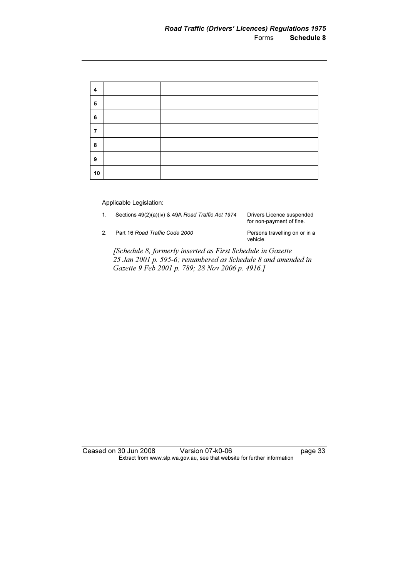| 4  |  |  |
|----|--|--|
| 5  |  |  |
| 6  |  |  |
| 7  |  |  |
| 8  |  |  |
| 9  |  |  |
| 10 |  |  |

### Applicable Legislation:

1. Sections 49(2)(a)(iv) & 49A Road Traffic Act 1974 Drivers Licence suspended

for non-payment of fine.

2. Part 16 Road Traffic Code 2000 Persons travelling on or in a

vehicle.

 [Schedule 8, formerly inserted as First Schedule in Gazette 25 Jan 2001 p. 595-6; renumbered as Schedule 8 and amended in Gazette 9 Feb 2001 p. 789; 28 Nov 2006 p. 4916.]

Ceased on 30 Jun 2008 Version 07-k0-06 Page 33 Extract from www.slp.wa.gov.au, see that website for further information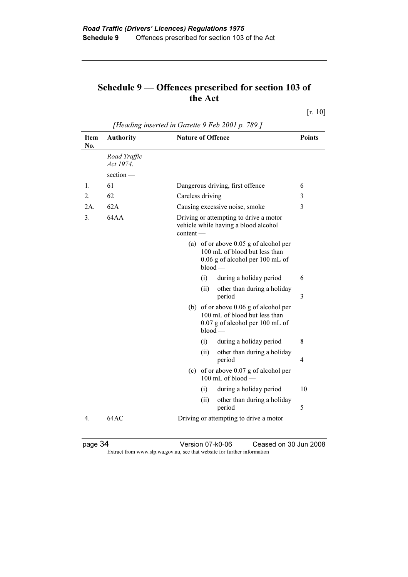## Schedule 9 — Offences prescribed for section 103 of the Act

[r. 10]

|             | [Heading inserted in Gazette 9 Feb 2001 p. 789.] |                                                                                                                        |               |
|-------------|--------------------------------------------------|------------------------------------------------------------------------------------------------------------------------|---------------|
| Item<br>No. | <b>Authority</b>                                 | <b>Nature of Offence</b>                                                                                               | <b>Points</b> |
|             | Road Traffic<br>Act 1974.                        |                                                                                                                        |               |
|             | section -                                        |                                                                                                                        |               |
| 1.          | 61                                               | Dangerous driving, first offence                                                                                       | 6             |
| 2.          | 62                                               | Careless driving                                                                                                       | 3             |
| 2A.         | 62A                                              | Causing excessive noise, smoke                                                                                         | 3             |
| 3.          | 64AA                                             | Driving or attempting to drive a motor<br>vehicle while having a blood alcohol<br>$content$ —                          |               |
|             |                                                  | (a) of or above 0.05 g of alcohol per<br>100 mL of blood but less than<br>0.06 g of alcohol per 100 mL of<br>$blood -$ |               |
|             |                                                  | during a holiday period<br>(i)                                                                                         | 6             |
|             |                                                  | (ii)<br>other than during a holiday<br>period                                                                          | 3             |
|             |                                                  | (b) of or above 0.06 g of alcohol per<br>100 mL of blood but less than<br>0.07 g of alcohol per 100 mL of<br>$blood -$ |               |
|             |                                                  | (i)<br>during a holiday period                                                                                         | 8             |
|             |                                                  | (ii)<br>other than during a holiday<br>period                                                                          | 4             |
|             |                                                  | (c) of or above 0.07 g of alcohol per<br>100 mL of blood -                                                             |               |
|             |                                                  | during a holiday period<br>(i)                                                                                         | 10            |
|             |                                                  | (ii)<br>other than during a holiday<br>period                                                                          | 5             |
| 4.          | 64AC                                             | Driving or attempting to drive a motor                                                                                 |               |

 $[H_{\text{tot}}]$  instructed in Gazette 9 Feb 2001 p. 799.1

page 34 Version 07-k0-06 Ceased on 30 Jun 2008 Extract from www.slp.wa.gov.au, see that website for further information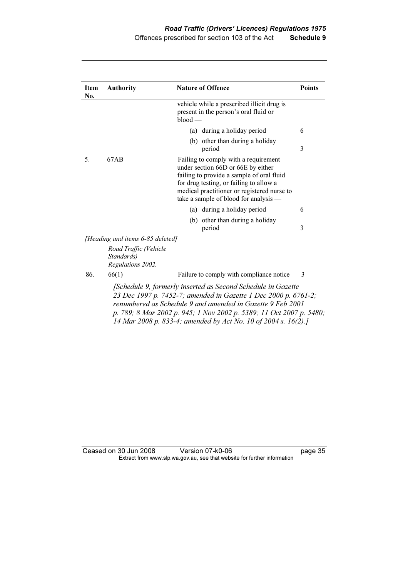| <b>Item</b><br>No.                                                                                                                                                                                                                                                                                                                     | <b>Authority</b>                                         | <b>Nature of Offence</b>                                                                                                                                                                                                                                   | <b>Points</b> |
|----------------------------------------------------------------------------------------------------------------------------------------------------------------------------------------------------------------------------------------------------------------------------------------------------------------------------------------|----------------------------------------------------------|------------------------------------------------------------------------------------------------------------------------------------------------------------------------------------------------------------------------------------------------------------|---------------|
|                                                                                                                                                                                                                                                                                                                                        |                                                          | vehicle while a prescribed illicit drug is<br>present in the person's oral fluid or<br>$blood -$                                                                                                                                                           |               |
|                                                                                                                                                                                                                                                                                                                                        |                                                          | (a) during a holiday period                                                                                                                                                                                                                                | 6             |
|                                                                                                                                                                                                                                                                                                                                        |                                                          | (b) other than during a holiday<br>period                                                                                                                                                                                                                  | 3             |
| 5.                                                                                                                                                                                                                                                                                                                                     | 67AB                                                     | Failing to comply with a requirement<br>under section 66D or 66E by either<br>failing to provide a sample of oral fluid<br>for drug testing, or failing to allow a<br>medical practitioner or registered nurse to<br>take a sample of blood for analysis — |               |
|                                                                                                                                                                                                                                                                                                                                        |                                                          | (a) during a holiday period                                                                                                                                                                                                                                | 6             |
|                                                                                                                                                                                                                                                                                                                                        |                                                          | (b) other than during a holiday<br>period                                                                                                                                                                                                                  | 3             |
|                                                                                                                                                                                                                                                                                                                                        | [Heading and items 6-85 deleted]                         |                                                                                                                                                                                                                                                            |               |
|                                                                                                                                                                                                                                                                                                                                        | Road Traffic (Vehicle<br>Standards)<br>Regulations 2002. |                                                                                                                                                                                                                                                            |               |
| 86.                                                                                                                                                                                                                                                                                                                                    | 66(1)                                                    | Failure to comply with compliance notice                                                                                                                                                                                                                   | 3             |
| [Schedule 9, formerly inserted as Second Schedule in Gazette<br>23 Dec 1997 p. 7452-7; amended in Gazette 1 Dec 2000 p. 6761-2;<br>renumbered as Schedule 9 and amended in Gazette 9 Feb 2001<br>p. 789; 8 Mar 2002 p. 945; 1 Nov 2002 p. 5389; 11 Oct 2007 p. 5480;<br>14 Mar 2008 p. 833-4; amended by Act No. 10 of 2004 s. 16(2).] |                                                          |                                                                                                                                                                                                                                                            |               |

Ceased on 30 Jun 2008 Version 07-k0-06 page 35 Extract from www.slp.wa.gov.au, see that website for further information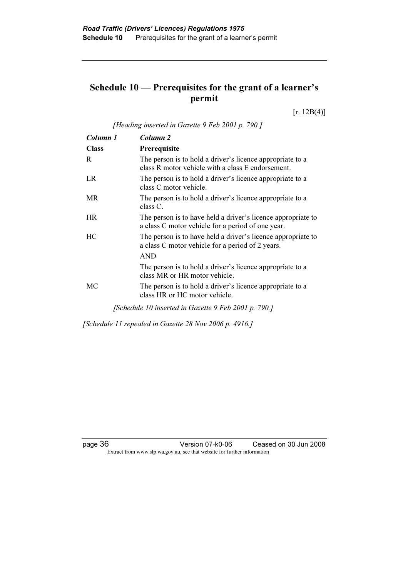## Schedule 10 — Prerequisites for the grant of a learner's permit

 $[r. 12B(4)]$ 

[Heading inserted in Gazette 9 Feb 2001 p. 790.]

| Column 1     | Column 2                                                                                                          |
|--------------|-------------------------------------------------------------------------------------------------------------------|
| <b>Class</b> | Prerequisite                                                                                                      |
| R            | The person is to hold a driver's licence appropriate to a<br>class R motor vehicle with a class E endorsement.    |
| LR           | The person is to hold a driver's licence appropriate to a<br>class C motor vehicle.                               |
| <b>MR</b>    | The person is to hold a driver's licence appropriate to a<br>$class C$ .                                          |
| <b>HR</b>    | The person is to have held a driver's licence appropriate to<br>a class C motor vehicle for a period of one year. |
| HC.          | The person is to have held a driver's licence appropriate to<br>a class C motor vehicle for a period of 2 years.  |
|              | <b>AND</b>                                                                                                        |
|              | The person is to hold a driver's licence appropriate to a<br>class MR or HR motor vehicle.                        |
| МC           | The person is to hold a driver's licence appropriate to a<br>class HR or HC motor vehicle.                        |
|              | [Schedule 10 inserted in Gazette 9 Feb 2001 p. 790.]                                                              |

[Schedule 11 repealed in Gazette 28 Nov 2006 p. 4916.]

page 36 Version 07-k0-06 Ceased on 30 Jun 2008 Extract from www.slp.wa.gov.au, see that website for further information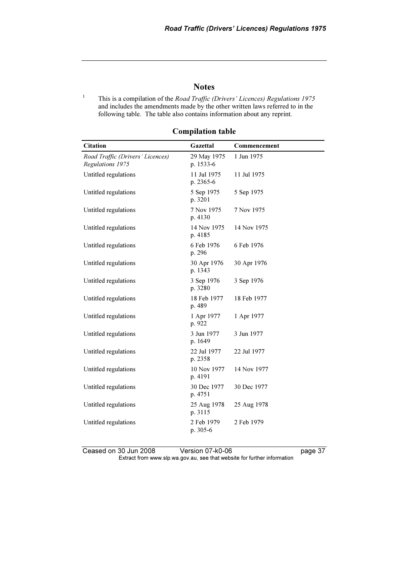### **Notes**

1 This is a compilation of the Road Traffic (Drivers' Licences) Regulations 1975 and includes the amendments made by the other written laws referred to in the following table. The table also contains information about any reprint.

| <b>Citation</b>                                      | Gazettal                 | Commencement |
|------------------------------------------------------|--------------------------|--------------|
| Road Traffic (Drivers' Licences)<br>Regulations 1975 | 29 May 1975<br>p. 1533-6 | 1 Jun 1975   |
| Untitled regulations                                 | 11 Jul 1975<br>p. 2365-6 | 11 Jul 1975  |
| Untitled regulations                                 | 5 Sep 1975<br>p. 3201    | 5 Sep 1975   |
| Untitled regulations                                 | 7 Nov 1975<br>p. 4130    | 7 Nov 1975   |
| Untitled regulations                                 | 14 Nov 1975<br>p. 4185   | 14 Nov 1975  |
| Untitled regulations                                 | 6 Feb 1976<br>p. 296     | 6 Feb 1976   |
| Untitled regulations                                 | 30 Apr 1976<br>p. 1343   | 30 Apr 1976  |
| Untitled regulations                                 | 3 Sep 1976<br>p. 3280    | 3 Sep 1976   |
| Untitled regulations                                 | 18 Feb 1977<br>p. 489    | 18 Feb 1977  |
| Untitled regulations                                 | 1 Apr 1977<br>p. 922     | 1 Apr 1977   |
| Untitled regulations                                 | 3 Jun 1977<br>p. 1649    | 3 Jun 1977   |
| Untitled regulations                                 | 22 Jul 1977<br>p. 2358   | 22 Jul 1977  |
| Untitled regulations                                 | 10 Nov 1977<br>p. 4191   | 14 Nov 1977  |
| Untitled regulations                                 | 30 Dec 1977<br>p. 4751   | 30 Dec 1977  |
| Untitled regulations                                 | 25 Aug 1978<br>p. 3115   | 25 Aug 1978  |
| Untitled regulations                                 | 2 Feb 1979<br>p. 305-6   | 2 Feb 1979   |

### Compilation table

Ceased on 30 Jun 2008 Version 07-k0-06 page 37 Extract from www.slp.wa.gov.au, see that website for further information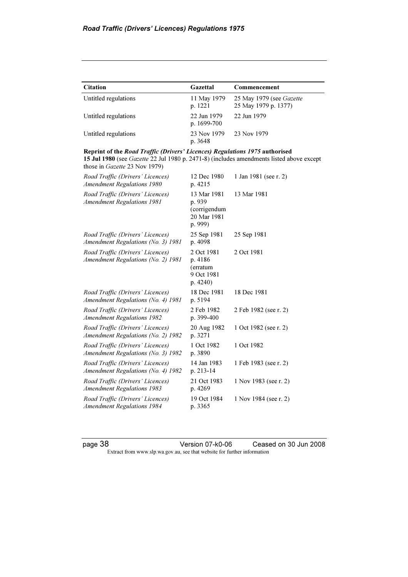| <b>Citation</b>      | Gazettal                     | Commencement                                            |
|----------------------|------------------------------|---------------------------------------------------------|
| Untitled regulations | 11 May 1979<br>p. 1221       | 25 May 1979 (see <i>Gazette</i><br>25 May 1979 p. 1377) |
| Untitled regulations | 22 Jun 1979<br>p. $1699-700$ | 22 Jun 1979                                             |
| Untitled regulations | 23 Nov 1979<br>p. 3648       | 23 Nov 1979                                             |

Reprint of the Road Traffic (Drivers' Licences) Regulations 1975 authorised 15 Jul 1980 (see Gazette 22 Jul 1980 p. 2471-8) (includes amendments listed above except those in Gazette 23 Nov 1979)

| Road Traffic (Drivers' Licences)<br><b>Amendment Regulations 1980</b>  | 12 Dec 1980<br>p. 4215                                          | 1 Jan 1981 (see r. 2) |
|------------------------------------------------------------------------|-----------------------------------------------------------------|-----------------------|
| Road Traffic (Drivers' Licences)<br><b>Amendment Regulations 1981</b>  | 13 Mar 1981<br>p. 939<br>(corrigendum<br>20 Mar 1981<br>p. 999) | 13 Mar 1981           |
| Road Traffic (Drivers' Licences)<br>Amendment Regulations (No. 3) 1981 | 25 Sep 1981<br>p. 4098                                          | 25 Sep 1981           |
| Road Traffic (Drivers' Licences)<br>Amendment Regulations (No. 2) 1981 | 2 Oct 1981<br>p. 4186<br>(erratum<br>9 Oct 1981<br>p.4240)      | 2 Oct 1981            |
| Road Traffic (Drivers' Licences)<br>Amendment Regulations (No. 4) 1981 | 18 Dec 1981<br>p. 5194                                          | 18 Dec 1981           |
| Road Traffic (Drivers' Licences)<br><b>Amendment Regulations 1982</b>  | 2 Feb 1982<br>p. 399-400                                        | 2 Feb 1982 (see r. 2) |
| Road Traffic (Drivers' Licences)<br>Amendment Regulations (No. 2) 1982 | 20 Aug 1982<br>p. 3271                                          | 1 Oct 1982 (see r. 2) |
| Road Traffic (Drivers' Licences)<br>Amendment Regulations (No. 3) 1982 | 1 Oct 1982<br>p. 3890                                           | 1 Oct 1982            |
| Road Traffic (Drivers' Licences)<br>Amendment Regulations (No. 4) 1982 | 14 Jan 1983<br>p. 213-14                                        | 1 Feb 1983 (see r. 2) |
| Road Traffic (Drivers' Licences)<br><b>Amendment Regulations 1983</b>  | 21 Oct 1983<br>p. 4269                                          | 1 Nov 1983 (see r. 2) |
| Road Traffic (Drivers' Licences)<br><b>Amendment Regulations 1984</b>  | 19 Oct 1984<br>p. 3365                                          | 1 Nov 1984 (see r. 2) |

page 38 Version 07-k0-06 Ceased on 30 Jun 2008 Extract from www.slp.wa.gov.au, see that website for further information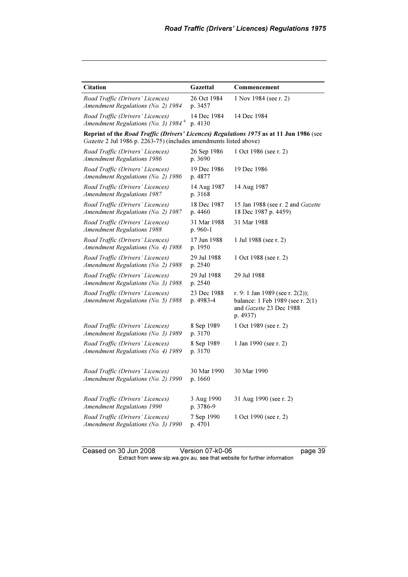| <b>Citation</b>                                                                                                                                              | Gazettal                 | Commencement                                                                                               |
|--------------------------------------------------------------------------------------------------------------------------------------------------------------|--------------------------|------------------------------------------------------------------------------------------------------------|
| Road Traffic (Drivers' Licences)<br>Amendment Regulations (No. 2) 1984                                                                                       | 26 Oct 1984<br>p. 3457   | 1 Nov 1984 (see r. 2)                                                                                      |
| Road Traffic (Drivers' Licences)<br>Amendment Regulations (No. 3) 1984 <sup>4</sup>                                                                          | 14 Dec 1984<br>p. 4130   | 14 Dec 1984                                                                                                |
| Reprint of the Road Traffic (Drivers' Licences) Regulations 1975 as at 11 Jun 1986 (see<br>Gazette 2 Jul 1986 p. 2263-75) (includes amendments listed above) |                          |                                                                                                            |
| Road Traffic (Drivers' Licences)<br><b>Amendment Regulations 1986</b>                                                                                        | 26 Sep 1986<br>p. 3690   | 1 Oct 1986 (see r. 2)                                                                                      |
| Road Traffic (Drivers' Licences)<br>Amendment Regulations (No. 2) 1986                                                                                       | 19 Dec 1986<br>p. 4877   | 19 Dec 1986                                                                                                |
| Road Traffic (Drivers' Licences)<br><b>Amendment Regulations 1987</b>                                                                                        | 14 Aug 1987<br>p. 3168   | 14 Aug 1987                                                                                                |
| Road Traffic (Drivers' Licences)<br>Amendment Regulations (No. 2) 1987                                                                                       | 18 Dec 1987<br>p. 4460   | 15 Jan 1988 (see r. 2 and Gazette<br>18 Dec 1987 p. 4459)                                                  |
| Road Traffic (Drivers' Licences)<br><b>Amendment Regulations 1988</b>                                                                                        | 31 Mar 1988<br>p. 960-1  | 31 Mar 1988                                                                                                |
| Road Traffic (Drivers' Licences)<br>Amendment Regulations (No. 4) 1988                                                                                       | 17 Jun 1988<br>p. 1950   | 1 Jul 1988 (see r. 2)                                                                                      |
| Road Traffic (Drivers' Licences)<br>Amendment Regulations (No. 2) 1988                                                                                       | 29 Jul 1988<br>p. 2540   | 1 Oct 1988 (see r. 2)                                                                                      |
| Road Traffic (Drivers' Licences)<br>Amendment Regulations (No. 3) 1988                                                                                       | 29 Jul 1988<br>p. 2540   | 29 Jul 1988                                                                                                |
| Road Traffic (Drivers' Licences)<br>Amendment Regulations (No. 5) 1988                                                                                       | 23 Dec 1988<br>p. 4983-4 | r. 9: 1 Jan 1989 (see r. 2(2));<br>balance: 1 Feb 1989 (see r. 2(1)<br>and Gazette 23 Dec 1988<br>p. 4937) |
| Road Traffic (Drivers' Licences)<br>Amendment Regulations (No. 3) 1989                                                                                       | 8 Sep 1989<br>p. 3170    | 1 Oct 1989 (see r. 2)                                                                                      |
| Road Traffic (Drivers' Licences)<br>Amendment Regulations (No. 4) 1989                                                                                       | 8 Sep 1989<br>p. 3170    | 1 Jan 1990 (see r. 2)                                                                                      |
| Road Traffic (Drivers' Licences)<br>Amendment Regulations (No. 2) 1990                                                                                       | 30 Mar 1990<br>p. 1660   | 30 Mar 1990                                                                                                |
| Road Traffic (Drivers' Licences)<br><b>Amendment Regulations 1990</b>                                                                                        | 3 Aug 1990<br>p. 3786-9  | 31 Aug 1990 (see r. 2)                                                                                     |
| Road Traffic (Drivers' Licences)<br>Amendment Regulations (No. 3) 1990                                                                                       | 7 Sep 1990<br>p. 4701    | 1 Oct 1990 (see r. 2)                                                                                      |

Ceased on 30 Jun 2008 Version 07-k0-06 page 39 Extract from www.slp.wa.gov.au, see that website for further information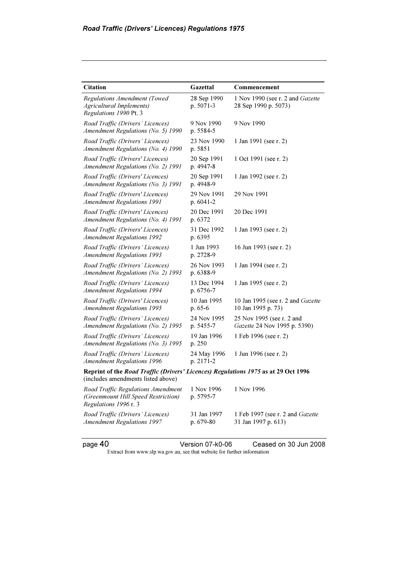| <b>Citation</b>                                                                                                          | Gazettal                 | Commencement                                              |
|--------------------------------------------------------------------------------------------------------------------------|--------------------------|-----------------------------------------------------------|
| <b>Regulations Amendment (Towed)</b><br><b>Agricultural Implements)</b><br>Regulations 1990 Pt. 3                        | 28 Sep 1990<br>p. 5071-3 | 1 Nov 1990 (see r. 2 and Gazette<br>28 Sep 1990 p. 5073)  |
| Road Traffic (Drivers' Licences)<br>Amendment Regulations (No. 5) 1990                                                   | 9 Nov 1990<br>p. 5584-5  | 9 Nov 1990                                                |
| Road Traffic (Drivers' Licences)<br>Amendment Regulations (No. 4) 1990                                                   | 23 Nov 1990<br>p. 5851   | 1 Jan 1991 (see r. 2)                                     |
| Road Traffic (Drivers' Licences)<br>Amendment Regulations (No. 2) 1991                                                   | 20 Sep 1991<br>p. 4947-8 | 1 Oct 1991 (see r. 2)                                     |
| Road Traffic (Drivers' Licences)<br>Amendment Regulations (No. 3) 1991                                                   | 20 Sep 1991<br>p. 4948-9 | 1 Jan 1992 (see r. 2)                                     |
| Road Traffic (Drivers' Licences)<br><b>Amendment Regulations 1991</b>                                                    | 29 Nov 1991<br>p. 6041-2 | 29 Nov 1991                                               |
| Road Traffic (Drivers' Licences)<br>Amendment Regulations (No. 4) 1991                                                   | 20 Dec 1991<br>p. 6372   | 20 Dec 1991                                               |
| Road Traffic (Drivers' Licences)<br><b>Amendment Regulations 1992</b>                                                    | 31 Dec 1992<br>p. 6395   | 1 Jan 1993 (see r. 2)                                     |
| Road Traffic (Drivers' Licences)<br><b>Amendment Regulations 1993</b>                                                    | 1 Jun 1993<br>p. 2728-9  | 16 Jun 1993 (see r. 2)                                    |
| Road Traffic (Drivers' Licences)<br>Amendment Regulations (No. 2) 1993                                                   | 26 Nov 1993<br>p. 6388-9 | 1 Jan 1994 (see r. 2)                                     |
| Road Traffic (Drivers' Licences)<br><b>Amendment Regulations 1994</b>                                                    | 13 Dec 1994<br>p. 6756-7 | 1 Jan 1995 (see r. 2)                                     |
| Road Traffic (Drivers' Licences)<br><b>Amendment Regulations 1995</b>                                                    | 10 Jan 1995<br>$p.65-6$  | 10 Jan 1995 (see r. 2 and Gazette<br>10 Jan 1995 p. 73)   |
| Road Traffic (Drivers' Licences)<br>Amendment Regulations (No. 2) 1995                                                   | 24 Nov 1995<br>p. 5455-7 | 25 Nov 1995 (see r. 2 and<br>Gazette 24 Nov 1995 p. 5390) |
| Road Traffic (Drivers' Licences)<br>Amendment Regulations (No. 3) 1995                                                   | 19 Jan 1996<br>p. 250    | 1 Feb 1996 (see r. 2)                                     |
| Road Traffic (Drivers' Licences)<br><b>Amendment Regulations 1996</b>                                                    | 24 May 1996<br>p. 2171-2 | 1 Jun 1996 (see r. 2)                                     |
| Reprint of the Road Traffic (Drivers' Licences) Regulations 1975 as at 29 Oct 1996<br>(includes amendments listed above) |                          |                                                           |
| Road Traffic Regulations Amendment<br>(Greenmount Hill Speed Restriction)<br>Regulations 1996 r. 3                       | 1 Nov 1996<br>p. 5795-7  | 1 Nov 1996                                                |
| Road Traffic (Drivers' Licences)<br><b>Amendment Regulations 1997</b>                                                    | 31 Jan 1997<br>p. 679-80 | 1 Feb 1997 (see r. 2 and Gazette<br>31 Jan 1997 p. 613)   |
| page 40                                                                                                                  | Version 07-k0-06         | Ceased on 30 Jun 2008                                     |

Extract from www.slp.wa.gov.au, see that website for further information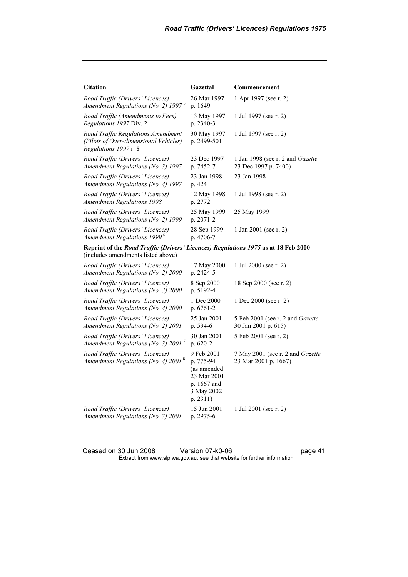| <b>Citation</b>                                                                                                          | Gazettal                                                                                       | Commencement                                             |
|--------------------------------------------------------------------------------------------------------------------------|------------------------------------------------------------------------------------------------|----------------------------------------------------------|
| Road Traffic (Drivers' Licences)<br>Amendment Regulations (No. 2) 1997 <sup>5</sup>                                      | 26 Mar 1997<br>p. 1649                                                                         | 1 Apr 1997 (see r. 2)                                    |
| Road Traffic (Amendments to Fees)<br>Regulations 1997 Div. 2                                                             | 13 May 1997<br>p. 2340-3                                                                       | 1 Jul 1997 (see r. 2)                                    |
| Road Traffic Regulations Amendment<br>(Pilots of Over-dimensional Vehicles)<br>Regulations 1997 r. 8                     | 30 May 1997<br>p. 2499-501                                                                     | 1 Jul 1997 (see r. 2)                                    |
| Road Traffic (Drivers' Licences)<br>Amendment Regulations (No. 3) 1997                                                   | 23 Dec 1997<br>p. 7452-7                                                                       | 1 Jan 1998 (see r. 2 and Gazette<br>23 Dec 1997 p. 7400) |
| Road Traffic (Drivers' Licences)<br>Amendment Regulations (No. 4) 1997                                                   | 23 Jan 1998<br>p. 424                                                                          | 23 Jan 1998                                              |
| Road Traffic (Drivers' Licences)<br><b>Amendment Regulations 1998</b>                                                    | 12 May 1998<br>p. 2772                                                                         | 1 Jul 1998 (see r. 2)                                    |
| Road Traffic (Drivers' Licences)<br>Amendment Regulations (No. 2) 1999                                                   | 25 May 1999<br>p. 2071-2                                                                       | 25 May 1999                                              |
| Road Traffic (Drivers' Licences)<br>Amendment Regulations 1999 <sup>6</sup>                                              | 28 Sep 1999<br>p. 4706-7                                                                       | 1 Jan 2001 (see r. 2)                                    |
| Reprint of the Road Traffic (Drivers' Licences) Regulations 1975 as at 18 Feb 2000<br>(includes amendments listed above) |                                                                                                |                                                          |
| Road Traffic (Drivers' Licences)<br>Amendment Regulations (No. 2) 2000                                                   | 17 May 2000<br>p. 2424-5                                                                       | 1 Jul 2000 (see r. 2)                                    |
| Road Traffic (Drivers' Licences)<br>Amendment Regulations (No. 3) 2000                                                   | 8 Sep 2000<br>p. 5192-4                                                                        | 18 Sep 2000 (see r. 2)                                   |
| Road Traffic (Drivers' Licences)<br>Amendment Regulations (No. 4) 2000                                                   | 1 Dec 2000<br>p. $6761-2$                                                                      | 1 Dec 2000 (see r. 2)                                    |
| Road Traffic (Drivers' Licences)<br>Amendment Regulations (No. 2) 2001                                                   | 25 Jan 2001<br>p. 594-6                                                                        | 5 Feb 2001 (see r. 2 and Gazette<br>30 Jan 2001 p. 615)  |
| Road Traffic (Drivers' Licences)<br>Amendment Regulations (No. 3) 2001 <sup>7</sup>                                      | 30 Jan 2001<br>p. 620-2                                                                        | 5 Feb 2001 (see r. 2)                                    |
| Road Traffic (Drivers' Licences)<br>Amendment Regulations (No. 4) $2001^8$                                               | 9 Feb 2001<br>p. 775-94<br>(as amended<br>23 Mar 2001<br>p. 1667 and<br>3 May 2002<br>p. 2311) | 7 May 2001 (see r. 2 and Gazette<br>23 Mar 2001 p. 1667) |
| Road Traffic (Drivers' Licences)<br>Amendment Regulations (No. 7) 2001                                                   | 15 Jun 2001<br>p. 2975-6                                                                       | 1 Jul 2001 (see r. 2)                                    |

Ceased on 30 Jun 2008 Version 07-k0-06 page 41 Extract from www.slp.wa.gov.au, see that website for further information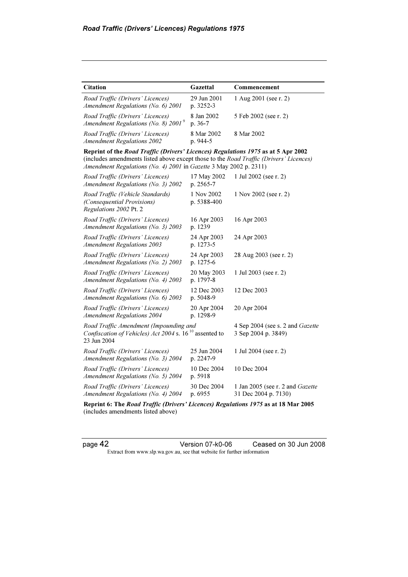| <b>Citation</b>                                                                                                                                                                                                                                  | Gazettal                  | Commencement                                             |
|--------------------------------------------------------------------------------------------------------------------------------------------------------------------------------------------------------------------------------------------------|---------------------------|----------------------------------------------------------|
| Road Traffic (Drivers' Licences)<br>Amendment Regulations (No. 6) 2001                                                                                                                                                                           | 29 Jun 2001<br>p. 3252-3  | 1 Aug 2001 (see r. 2)                                    |
| Road Traffic (Drivers' Licences)<br>Amendment Regulations (No. 8) $2001^9$                                                                                                                                                                       | 8 Jan 2002<br>p. 36-7     | 5 Feb 2002 (see r. 2)                                    |
| Road Traffic (Drivers' Licences)<br><b>Amendment Regulations 2002</b>                                                                                                                                                                            | 8 Mar 2002<br>p. 944-5    | 8 Mar 2002                                               |
| Reprint of the Road Traffic (Drivers' Licences) Regulations 1975 as at 5 Apr 2002<br>(includes amendments listed above except those to the Road Traffic (Drivers' Licences)<br>Amendment Regulations (No. 4) 2001 in Gazette 3 May 2002 p. 2311) |                           |                                                          |
| Road Traffic (Drivers' Licences)<br>Amendment Regulations (No. 3) 2002                                                                                                                                                                           | 17 May 2002<br>p. 2565-7  | 1 Jul 2002 (see r. 2)                                    |
| Road Traffic (Vehicle Standards)<br>(Consequential Provisions)<br>Regulations 2002 Pt. 2                                                                                                                                                         | 1 Nov 2002<br>p. 5388-400 | 1 Nov 2002 (see r. 2)                                    |
| Road Traffic (Drivers' Licences)<br>Amendment Regulations (No. 3) 2003                                                                                                                                                                           | 16 Apr 2003<br>p. 1239    | 16 Apr 2003                                              |
| Road Traffic (Drivers' Licences)<br><b>Amendment Regulations 2003</b>                                                                                                                                                                            | 24 Apr 2003<br>p. 1273-5  | 24 Apr 2003                                              |
| Road Traffic (Drivers' Licences)<br>Amendment Regulations (No. 2) 2003                                                                                                                                                                           | 24 Apr 2003<br>p. 1275-6  | 28 Aug 2003 (see r. 2)                                   |
| Road Traffic (Drivers' Licences)<br>Amendment Regulations (No. 4) 2003                                                                                                                                                                           | 20 May 2003<br>p. 1797-8  | 1 Jul 2003 (see r. 2)                                    |
| Road Traffic (Drivers' Licences)<br>Amendment Regulations (No. 6) 2003                                                                                                                                                                           | 12 Dec 2003<br>p. 5048-9  | 12 Dec 2003                                              |
| Road Traffic (Drivers' Licences)<br><b>Amendment Regulations 2004</b>                                                                                                                                                                            | 20 Apr 2004<br>p. 1298-9  | 20 Apr 2004                                              |
| Road Traffic Amendment (Impounding and<br>Confiscation of Vehicles) Act 2004 s. 16 <sup>10</sup> assented to<br>23 Jun 2004                                                                                                                      |                           | 4 Sep 2004 (see s. 2 and Gazette<br>3 Sep 2004 p. 3849)  |
| Road Traffic (Drivers' Licences)<br>Amendment Regulations (No. 3) 2004                                                                                                                                                                           | 25 Jun 2004<br>p. 2247-9  | 1 Jul 2004 (see r. 2)                                    |
| Road Traffic (Drivers' Licences)<br>Amendment Regulations (No. 5) 2004                                                                                                                                                                           | 10 Dec 2004<br>p. 5918    | 10 Dec 2004                                              |
| Road Traffic (Drivers' Licences)<br>Amendment Regulations (No. 4) 2004                                                                                                                                                                           | 30 Dec 2004<br>p. 6955    | 1 Jan 2005 (see r. 2 and Gazette<br>31 Dec 2004 p. 7130) |

Reprint 6: The Road Traffic (Drivers' Licences) Regulations 1975 as at 18 Mar 2005 (includes amendments listed above)

page 42 Version 07-k0-06 Ceased on 30 Jun 2008 Extract from www.slp.wa.gov.au, see that website for further information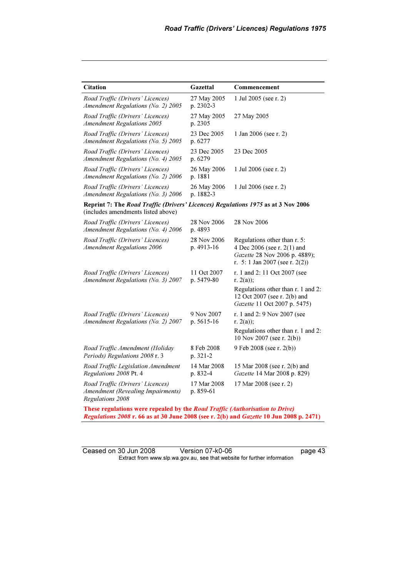| <b>Citation</b>                                                                                                         | Gazettal                  | Commencement                                                                                                                   |
|-------------------------------------------------------------------------------------------------------------------------|---------------------------|--------------------------------------------------------------------------------------------------------------------------------|
| Road Traffic (Drivers' Licences)<br>Amendment Regulations (No. 2) 2005                                                  | 27 May 2005<br>p. 2302-3  | 1 Jul 2005 (see r. 2)                                                                                                          |
| Road Traffic (Drivers' Licences)<br><b>Amendment Regulations 2005</b>                                                   | 27 May 2005<br>p. 2305    | 27 May 2005                                                                                                                    |
| Road Traffic (Drivers' Licences)<br>Amendment Regulations (No. 5) 2005                                                  | 23 Dec 2005<br>p. 6277    | 1 Jan 2006 (see r. 2)                                                                                                          |
| Road Traffic (Drivers' Licences)<br>Amendment Regulations (No. 4) 2005                                                  | 23 Dec 2005<br>p. 6279    | 23 Dec 2005                                                                                                                    |
| Road Traffic (Drivers' Licences)<br>Amendment Regulations (No. 2) 2006                                                  | 26 May 2006<br>p. 1881    | 1 Jul 2006 (see r. 2)                                                                                                          |
| Road Traffic (Drivers' Licences)<br>Amendment Regulations (No. 3) 2006                                                  | 26 May 2006<br>p. 1882-3  | 1 Jul 2006 (see r. 2)                                                                                                          |
| Reprint 7: The Road Traffic (Drivers' Licences) Regulations 1975 as at 3 Nov 2006<br>(includes amendments listed above) |                           |                                                                                                                                |
| Road Traffic (Drivers' Licences)<br>Amendment Regulations (No. 4) 2006                                                  | 28 Nov 2006<br>p. 4893    | 28 Nov 2006                                                                                                                    |
| Road Traffic (Drivers' Licences)<br><b>Amendment Regulations 2006</b>                                                   | 28 Nov 2006<br>p. 4913-16 | Regulations other than r. 5:<br>4 Dec 2006 (see r. 2(1) and<br>Gazette 28 Nov 2006 p. 4889);<br>r. 5: 1 Jan 2007 (see r. 2(2)) |
| Road Traffic (Drivers' Licences)<br>Amendment Regulations (No. 3) 2007                                                  | 11 Oct 2007<br>p. 5479-80 | r. 1 and 2: 11 Oct 2007 (see<br>r. $2(a)$ ;                                                                                    |
|                                                                                                                         |                           | Regulations other than r. 1 and 2:<br>12 Oct 2007 (see r. 2(b) and<br>Gazette 11 Oct 2007 p. 5475)                             |
| Road Traffic (Drivers' Licences)<br>Amendment Regulations (No. 2) 2007                                                  | 9 Nov 2007<br>p. 5615-16  | r. 1 and 2: 9 Nov 2007 (see<br>r. $2(a)$ ;                                                                                     |
|                                                                                                                         |                           | Regulations other than r. 1 and 2:<br>10 Nov 2007 (see r. 2(b))                                                                |
| Road Traffic Amendment (Holiday<br>Periods) Regulations 2008 r. 3                                                       | 8 Feb 2008<br>$p. 321-2$  | 9 Feb 2008 (see r. 2(b))                                                                                                       |
| Road Traffic Legislation Amendment<br>Regulations 2008 Pt. 4                                                            | 14 Mar 2008<br>p. 832-4   | 15 Mar 2008 (see r. 2(b) and<br>Gazette 14 Mar 2008 p. 829)                                                                    |
| Road Traffic (Drivers' Licences)<br>Amendment (Revealing Impairments)<br>Regulations 2008                               | 17 Mar 2008<br>p. 859-61  | 17 Mar 2008 (see r. 2)                                                                                                         |

These regulations were repealed by the Road Traffic (Authorisation to Drive) Regulations 2008 r. 66 as at 30 June 2008 (see r. 2(b) and Gazette 10 Jun 2008 p. 2471)

Ceased on 30 Jun 2008 Version 07-k0-06 page 43 Extract from www.slp.wa.gov.au, see that website for further information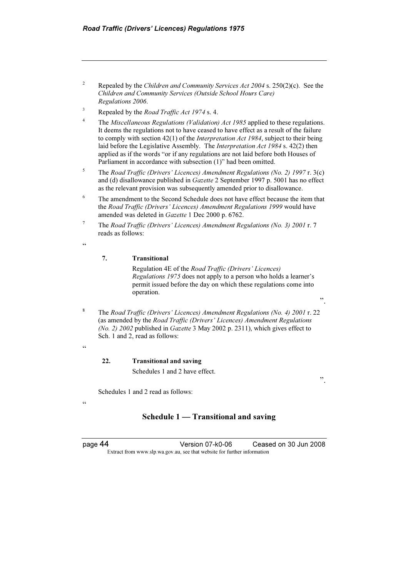- 2 Repealed by the Children and Community Services Act 2004 s. 250(2)(c). See the Children and Community Services (Outside School Hours Care) Regulations 2006.
- 3 Repealed by the Road Traffic Act 1974 s. 4.
- 4 The Miscellaneous Regulations (Validation) Act 1985 applied to these regulations. It deems the regulations not to have ceased to have effect as a result of the failure to comply with section 42(1) of the Interpretation Act 1984, subject to their being laid before the Legislative Assembly. The *Interpretation Act 1984* s. 42(2) then applied as if the words "or if any regulations are not laid before both Houses of Parliament in accordance with subsection (1)" had been omitted.
- 5 The Road Traffic (Drivers' Licences) Amendment Regulations (No. 2) 1997 r. 3(c) and (d) disallowance published in Gazette 2 September 1997 p. 5001 has no effect as the relevant provision was subsequently amended prior to disallowance.
- 6 The amendment to the Second Schedule does not have effect because the item that the Road Traffic (Drivers' Licences) Amendment Regulations 1999 would have amended was deleted in Gazette 1 Dec 2000 p. 6762.
- 7 The Road Traffic (Drivers' Licences) Amendment Regulations (No. 3) 2001 r. 7 reads as follows:
- <u>، د</u>

 $\epsilon$ 

"

#### 7. Transitional

 Regulation 4E of the Road Traffic (Drivers' Licences) Regulations 1975 does not apply to a person who holds a learner's permit issued before the day on which these regulations come into operation.

<sup>8</sup> The Road Traffic (Drivers' Licences) Amendment Regulations (No. 4) 2001 r. 22 (as amended by the Road Traffic (Drivers' Licences) Amendment Regulations (No. 2) 2002 published in Gazette 3 May 2002 p. 2311), which gives effect to Sch. 1 and 2, read as follows:

#### 22. Transitional and saving

Schedules 1 and 2 have effect.

".

".

Schedules 1 and 2 read as follows:

### Schedule 1 — Transitional and saving

page 44 Version 07-k0-06 Ceased on 30 Jun 2008 Extract from www.slp.wa.gov.au, see that website for further information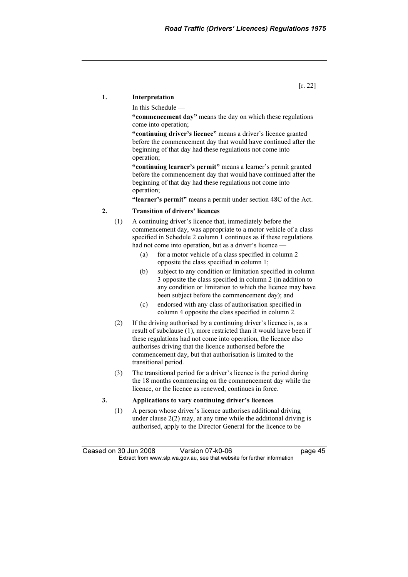#### 1. Interpretation

In this Schedule —

"commencement day" means the day on which these regulations come into operation;

"continuing driver's licence" means a driver's licence granted before the commencement day that would have continued after the beginning of that day had these regulations not come into operation;

"continuing learner's permit" means a learner's permit granted before the commencement day that would have continued after the beginning of that day had these regulations not come into operation;

"learner's permit" means a permit under section 48C of the Act.

### 2. Transition of drivers' licences

- (1) A continuing driver's licence that, immediately before the commencement day, was appropriate to a motor vehicle of a class specified in Schedule 2 column 1 continues as if these regulations had not come into operation, but as a driver's licence -
	- (a) for a motor vehicle of a class specified in column 2 opposite the class specified in column 1;
	- (b) subject to any condition or limitation specified in column 3 opposite the class specified in column 2 (in addition to any condition or limitation to which the licence may have been subject before the commencement day); and
	- (c) endorsed with any class of authorisation specified in column 4 opposite the class specified in column 2.
- (2) If the driving authorised by a continuing driver's licence is, as a result of subclause (1), more restricted than it would have been if these regulations had not come into operation, the licence also authorises driving that the licence authorised before the commencement day, but that authorisation is limited to the transitional period.
- (3) The transitional period for a driver's licence is the period during the 18 months commencing on the commencement day while the licence, or the licence as renewed, continues in force.

#### 3. Applications to vary continuing driver's licences

 (1) A person whose driver's licence authorises additional driving under clause  $2(2)$  may, at any time while the additional driving is authorised, apply to the Director General for the licence to be

Ceased on 30 Jun 2008 Version 07-k0-06 **Page 45** Extract from www.slp.wa.gov.au, see that website for further information

[r. 22]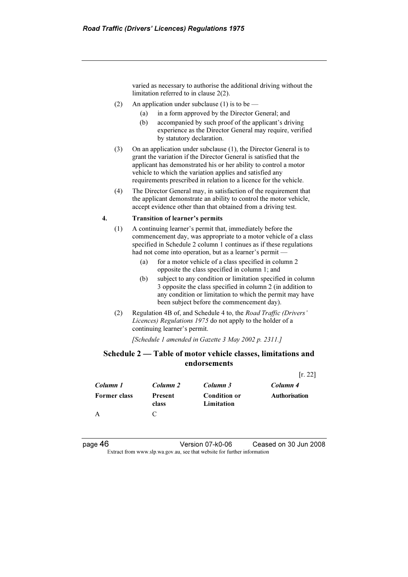varied as necessary to authorise the additional driving without the limitation referred to in clause 2(2).

- (2) An application under subclause (1) is to be
	- (a) in a form approved by the Director General; and
	- (b) accompanied by such proof of the applicant's driving experience as the Director General may require, verified by statutory declaration.
- (3) On an application under subclause (1), the Director General is to grant the variation if the Director General is satisfied that the applicant has demonstrated his or her ability to control a motor vehicle to which the variation applies and satisfied any requirements prescribed in relation to a licence for the vehicle.
- (4) The Director General may, in satisfaction of the requirement that the applicant demonstrate an ability to control the motor vehicle, accept evidence other than that obtained from a driving test.

#### 4. Transition of learner's permits

- (1) A continuing learner's permit that, immediately before the commencement day, was appropriate to a motor vehicle of a class specified in Schedule 2 column 1 continues as if these regulations had not come into operation, but as a learner's permit -
	- (a) for a motor vehicle of a class specified in column 2 opposite the class specified in column 1; and
	- (b) subject to any condition or limitation specified in column 3 opposite the class specified in column 2 (in addition to any condition or limitation to which the permit may have been subject before the commencement day).
- (2) Regulation 4B of, and Schedule 4 to, the Road Traffic (Drivers' Licences) Regulations 1975 do not apply to the holder of a continuing learner's permit.

[Schedule 1 amended in Gazette 3 May 2002 p. 2311.]

### Schedule 2 — Table of motor vehicle classes, limitations and endorsements

|                     |                         |                                   | [r. 22]              |
|---------------------|-------------------------|-----------------------------------|----------------------|
| Column 1            | Column 2                | Column 3                          | Column 4             |
| <b>Former class</b> | <b>Present</b><br>class | <b>Condition or</b><br>Limitation | <b>Authorisation</b> |
|                     | C                       |                                   |                      |

page 46 Version 07-k0-06 Ceased on 30 Jun 2008 Extract from www.slp.wa.gov.au, see that website for further information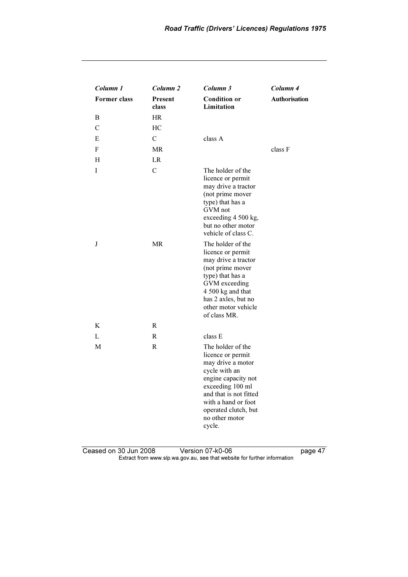| Column 1            | Column 2                | Column 3                                                                                                                                                                                                                     | Column 4             |
|---------------------|-------------------------|------------------------------------------------------------------------------------------------------------------------------------------------------------------------------------------------------------------------------|----------------------|
| <b>Former class</b> | <b>Present</b><br>class | <b>Condition or</b><br>Limitation                                                                                                                                                                                            | <b>Authorisation</b> |
| B                   | <b>HR</b>               |                                                                                                                                                                                                                              |                      |
| C                   | HC                      |                                                                                                                                                                                                                              |                      |
| E                   | $\mathcal{C}$           | class A                                                                                                                                                                                                                      |                      |
| F                   | <b>MR</b>               |                                                                                                                                                                                                                              | class F              |
| H                   | LR                      |                                                                                                                                                                                                                              |                      |
| I                   | $\mathcal{C}$           | The holder of the<br>licence or permit<br>may drive a tractor<br>(not prime mover<br>type) that has a<br>GVM not<br>exceeding 4 500 kg,<br>but no other motor<br>vehicle of class C.                                         |                      |
| J                   | <b>MR</b>               | The holder of the<br>licence or permit<br>may drive a tractor<br>(not prime mover<br>type) that has a<br>GVM exceeding<br>4 500 kg and that<br>has 2 axles, but no<br>other motor vehicle<br>of class MR.                    |                      |
| K                   | R                       |                                                                                                                                                                                                                              |                      |
| L                   | R                       | class E                                                                                                                                                                                                                      |                      |
| М                   | R                       | The holder of the<br>licence or permit<br>may drive a motor<br>cycle with an<br>engine capacity not<br>exceeding 100 ml<br>and that is not fitted<br>with a hand or foot<br>operated clutch, but<br>no other motor<br>cycle. |                      |

Ceased on 30 Jun 2008 Version 07-k0-06 page 47 Extract from www.slp.wa.gov.au, see that website for further information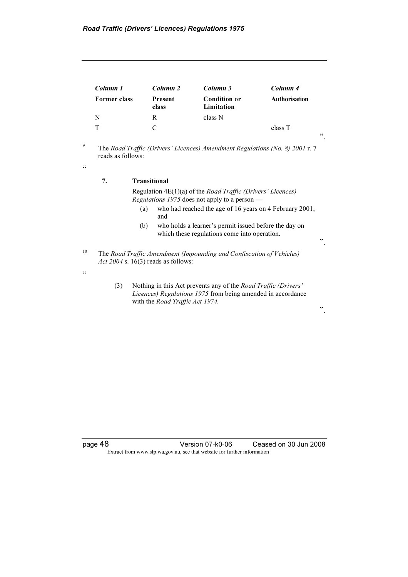| Column 1            | Column 2                | Column 3                          | Column 4             |
|---------------------|-------------------------|-----------------------------------|----------------------|
| <b>Former class</b> | <b>Present</b><br>class | <b>Condition or</b><br>Limitation | <b>Authorisation</b> |
| N                   | R                       | class N                           |                      |
|                     |                         |                                   | class T              |

<sup>9</sup> The Road Traffic (Drivers' Licences) Amendment Regulations (No. 8) 2001 r. 7 reads as follows:

 $\zeta \zeta$ 

#### 7. Transitional

 Regulation 4E(1)(a) of the Road Traffic (Drivers' Licences) Regulations 1975 does not apply to a person  $-$ 

- (a) who had reached the age of 16 years on 4 February 2001; and
- (b) who holds a learner's permit issued before the day on which these regulations come into operation.
- <sup>10</sup> The Road Traffic Amendment (Impounding and Confiscation of Vehicles) Act 2004 s.  $16(3)$  reads as follows:
- $\epsilon$

 (3) Nothing in this Act prevents any of the Road Traffic (Drivers' Licences) Regulations 1975 from being amended in accordance with the Road Traffic Act 1974.

".

".

".

page 48 Version 07-k0-06 Ceased on 30 Jun 2008 Extract from www.slp.wa.gov.au, see that website for further information